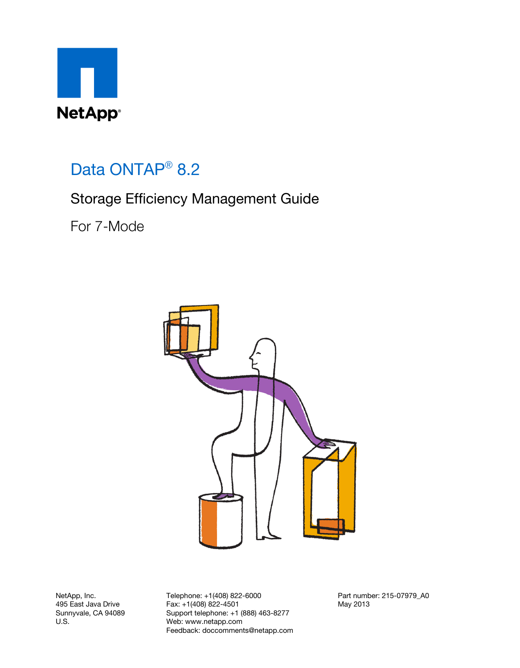

# Data ONTAP<sup>®</sup> 8.2

## Storage Efficiency Management Guide

For 7-Mode



NetApp, Inc. 495 East Java Drive Sunnyvale, CA 94089 U.S.

Telephone: +1(408) 822-6000 Fax: +1(408) 822-4501 Support telephone: +1 (888) 463-8277 Web: www.netapp.com Feedback: doccomments@netapp.com Part number: 215-07979\_A0 May 2013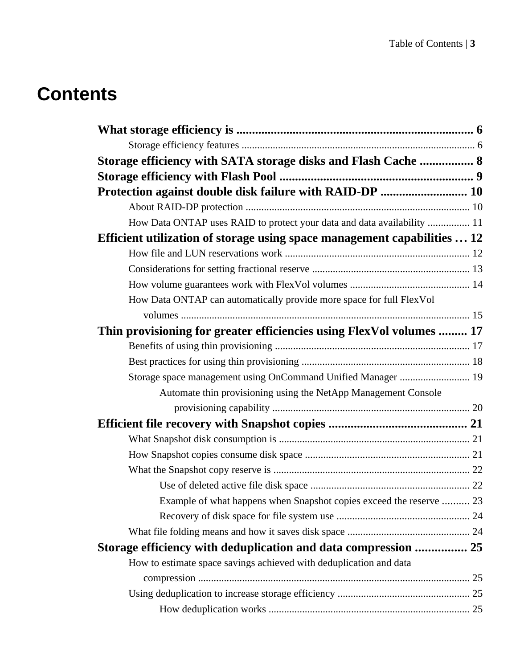# **Contents**

| Storage efficiency with SATA storage disks and Flash Cache  8            |  |
|--------------------------------------------------------------------------|--|
|                                                                          |  |
| Protection against double disk failure with RAID-DP  10                  |  |
|                                                                          |  |
| How Data ONTAP uses RAID to protect your data and data availability  11  |  |
| Efficient utilization of storage using space management capabilities  12 |  |
|                                                                          |  |
|                                                                          |  |
|                                                                          |  |
| How Data ONTAP can automatically provide more space for full FlexVol     |  |
|                                                                          |  |
| Thin provisioning for greater efficiencies using FlexVol volumes  17     |  |
|                                                                          |  |
|                                                                          |  |
| Storage space management using OnCommand Unified Manager  19             |  |
| Automate thin provisioning using the NetApp Management Console           |  |
|                                                                          |  |
|                                                                          |  |
|                                                                          |  |
|                                                                          |  |
|                                                                          |  |
|                                                                          |  |
| Example of what happens when Snapshot copies exceed the reserve  23      |  |
|                                                                          |  |
|                                                                          |  |
| Storage efficiency with deduplication and data compression  25           |  |
| How to estimate space savings achieved with deduplication and data       |  |
|                                                                          |  |
|                                                                          |  |
|                                                                          |  |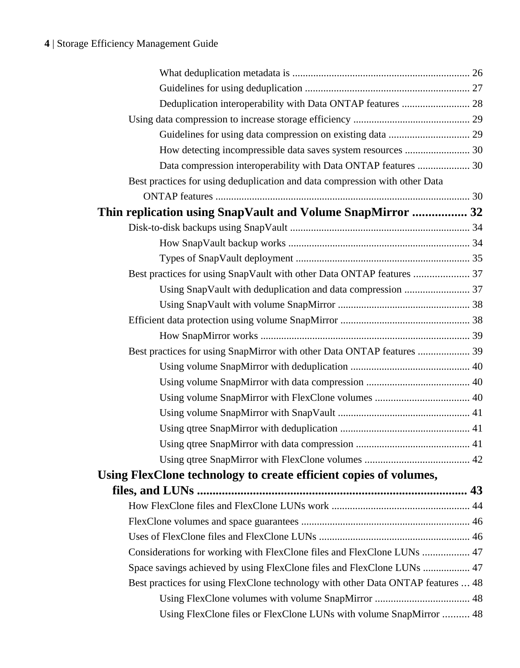| Deduplication interoperability with Data ONTAP features  28                      |  |
|----------------------------------------------------------------------------------|--|
|                                                                                  |  |
|                                                                                  |  |
| How detecting incompressible data saves system resources  30                     |  |
| Data compression interoperability with Data ONTAP features  30                   |  |
| Best practices for using deduplication and data compression with other Data      |  |
|                                                                                  |  |
| Thin replication using SnapVault and Volume SnapMirror  32                       |  |
|                                                                                  |  |
|                                                                                  |  |
|                                                                                  |  |
|                                                                                  |  |
|                                                                                  |  |
|                                                                                  |  |
|                                                                                  |  |
|                                                                                  |  |
| Best practices for using SnapMirror with other Data ONTAP features  39           |  |
|                                                                                  |  |
|                                                                                  |  |
|                                                                                  |  |
|                                                                                  |  |
|                                                                                  |  |
|                                                                                  |  |
|                                                                                  |  |
| Using FlexClone technology to create efficient copies of volumes,                |  |
|                                                                                  |  |
|                                                                                  |  |
|                                                                                  |  |
|                                                                                  |  |
| Considerations for working with FlexClone files and FlexClone LUNs  47           |  |
| Space savings achieved by using FlexClone files and FlexClone LUNs  47           |  |
| Best practices for using FlexClone technology with other Data ONTAP features  48 |  |
|                                                                                  |  |
| Using FlexClone files or FlexClone LUNs with volume SnapMirror  48               |  |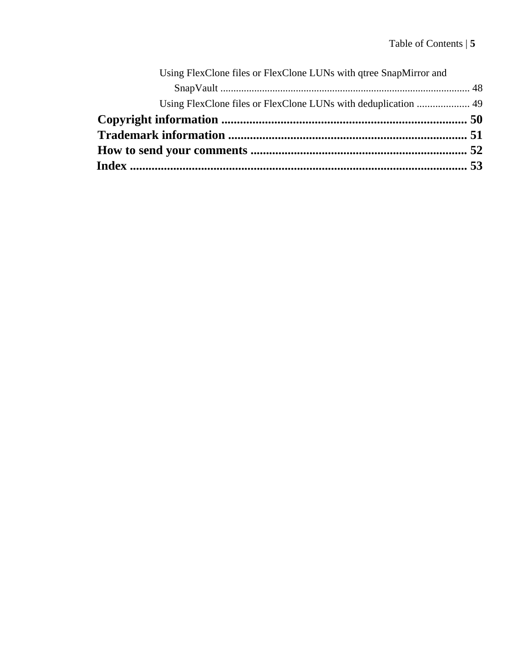| Using FlexClone files or FlexClone LUNs with qtree SnapMirror and |  |
|-------------------------------------------------------------------|--|
|                                                                   |  |
| Using FlexClone files or FlexClone LUNs with deduplication  49    |  |
|                                                                   |  |
|                                                                   |  |
|                                                                   |  |
|                                                                   |  |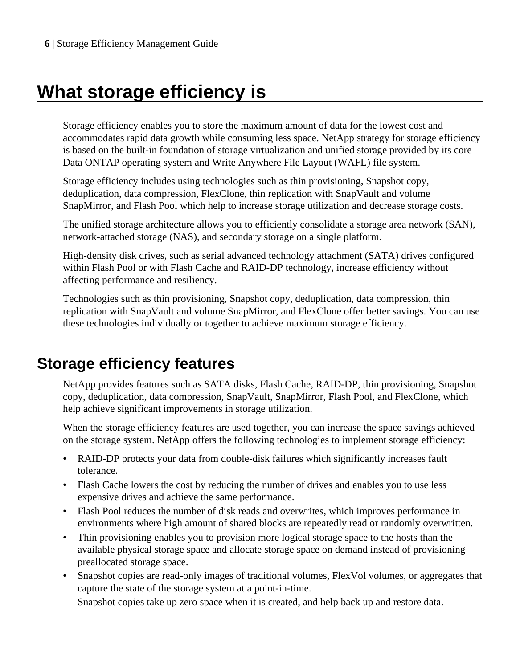# <span id="page-5-0"></span>**What storage efficiency is**

Storage efficiency enables you to store the maximum amount of data for the lowest cost and accommodates rapid data growth while consuming less space. NetApp strategy for storage efficiency is based on the built-in foundation of storage virtualization and unified storage provided by its core Data ONTAP operating system and Write Anywhere File Layout (WAFL) file system.

Storage efficiency includes using technologies such as thin provisioning, Snapshot copy, deduplication, data compression, FlexClone, thin replication with SnapVault and volume SnapMirror, and Flash Pool which help to increase storage utilization and decrease storage costs.

The unified storage architecture allows you to efficiently consolidate a storage area network (SAN), network-attached storage (NAS), and secondary storage on a single platform.

High-density disk drives, such as serial advanced technology attachment (SATA) drives configured within Flash Pool or with Flash Cache and RAID-DP technology, increase efficiency without affecting performance and resiliency.

Technologies such as thin provisioning, Snapshot copy, deduplication, data compression, thin replication with SnapVault and volume SnapMirror, and FlexClone offer better savings. You can use these technologies individually or together to achieve maximum storage efficiency.

## **Storage efficiency features**

NetApp provides features such as SATA disks, Flash Cache, RAID-DP, thin provisioning, Snapshot copy, deduplication, data compression, SnapVault, SnapMirror, Flash Pool, and FlexClone, which help achieve significant improvements in storage utilization.

When the storage efficiency features are used together, you can increase the space savings achieved on the storage system. NetApp offers the following technologies to implement storage efficiency:

- RAID-DP protects your data from double-disk failures which significantly increases fault tolerance.
- Flash Cache lowers the cost by reducing the number of drives and enables you to use less expensive drives and achieve the same performance.
- Flash Pool reduces the number of disk reads and overwrites, which improves performance in environments where high amount of shared blocks are repeatedly read or randomly overwritten.
- Thin provisioning enables you to provision more logical storage space to the hosts than the available physical storage space and allocate storage space on demand instead of provisioning preallocated storage space.
- Snapshot copies are read-only images of traditional volumes, FlexVol volumes, or aggregates that capture the state of the storage system at a point-in-time.

Snapshot copies take up zero space when it is created, and help back up and restore data.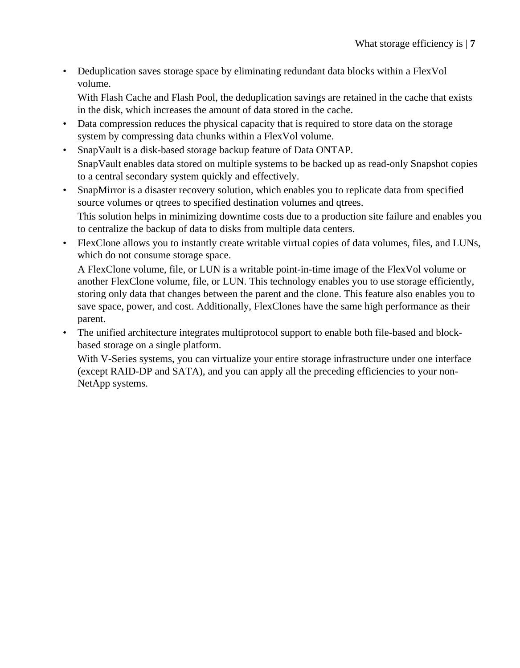• Deduplication saves storage space by eliminating redundant data blocks within a FlexVol volume.

With Flash Cache and Flash Pool, the deduplication savings are retained in the cache that exists in the disk, which increases the amount of data stored in the cache.

- Data compression reduces the physical capacity that is required to store data on the storage system by compressing data chunks within a FlexVol volume.
- SnapVault is a disk-based storage backup feature of Data ONTAP. SnapVault enables data stored on multiple systems to be backed up as read-only Snapshot copies to a central secondary system quickly and effectively.
- SnapMirror is a disaster recovery solution, which enables you to replicate data from specified source volumes or qtrees to specified destination volumes and qtrees. This solution helps in minimizing downtime costs due to a production site failure and enables you to centralize the backup of data to disks from multiple data centers.
- FlexClone allows you to instantly create writable virtual copies of data volumes, files, and LUNs, which do not consume storage space.

A FlexClone volume, file, or LUN is a writable point-in-time image of the FlexVol volume or another FlexClone volume, file, or LUN. This technology enables you to use storage efficiently, storing only data that changes between the parent and the clone. This feature also enables you to save space, power, and cost. Additionally, FlexClones have the same high performance as their parent.

• The unified architecture integrates multiprotocol support to enable both file-based and blockbased storage on a single platform.

With V-Series systems, you can virtualize your entire storage infrastructure under one interface (except RAID-DP and SATA), and you can apply all the preceding efficiencies to your non-NetApp systems.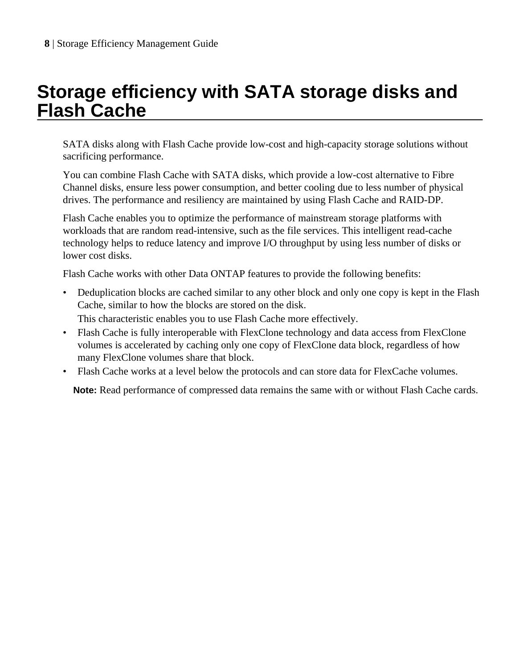# <span id="page-7-0"></span>**Storage efficiency with SATA storage disks and Flash Cache**

SATA disks along with Flash Cache provide low-cost and high-capacity storage solutions without sacrificing performance.

You can combine Flash Cache with SATA disks, which provide a low-cost alternative to Fibre Channel disks, ensure less power consumption, and better cooling due to less number of physical drives. The performance and resiliency are maintained by using Flash Cache and RAID-DP.

Flash Cache enables you to optimize the performance of mainstream storage platforms with workloads that are random read-intensive, such as the file services. This intelligent read-cache technology helps to reduce latency and improve I/O throughput by using less number of disks or lower cost disks.

Flash Cache works with other Data ONTAP features to provide the following benefits:

- Deduplication blocks are cached similar to any other block and only one copy is kept in the Flash Cache, similar to how the blocks are stored on the disk.
- This characteristic enables you to use Flash Cache more effectively.
- Flash Cache is fully interoperable with FlexClone technology and data access from FlexClone volumes is accelerated by caching only one copy of FlexClone data block, regardless of how many FlexClone volumes share that block.
- Flash Cache works at a level below the protocols and can store data for FlexCache volumes.

Note: Read performance of compressed data remains the same with or without Flash Cache cards.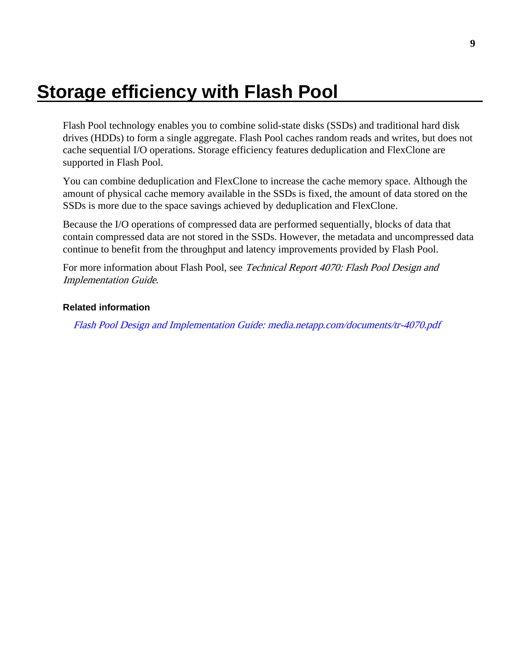# <span id="page-8-0"></span>**Storage efficiency with Flash Pool**

Flash Pool technology enables you to combine solid-state disks (SSDs) and traditional hard disk drives (HDDs) to form a single aggregate. Flash Pool caches random reads and writes, but does not cache sequential I/O operations. Storage efficiency features deduplication and FlexClone are supported in Flash Pool.

You can combine deduplication and FlexClone to increase the cache memory space. Although the amount of physical cache memory available in the SSDs is fixed, the amount of data stored on the SSDs is more due to the space savings achieved by deduplication and FlexClone.

Because the I/O operations of compressed data are performed sequentially, blocks of data that contain compressed data are not stored in the SSDs. However, the metadata and uncompressed data continue to benefit from the throughput and latency improvements provided by Flash Pool.

For more information about Flash Pool, see Technical Report 4070: Flash Pool Design and Implementation Guide.

#### **Related information**

[Flash Pool Design and Implementation Guide: media.netapp.com/documents/tr-4070.pdf](http://media.netapp.com/documents/tr-4070.pdf)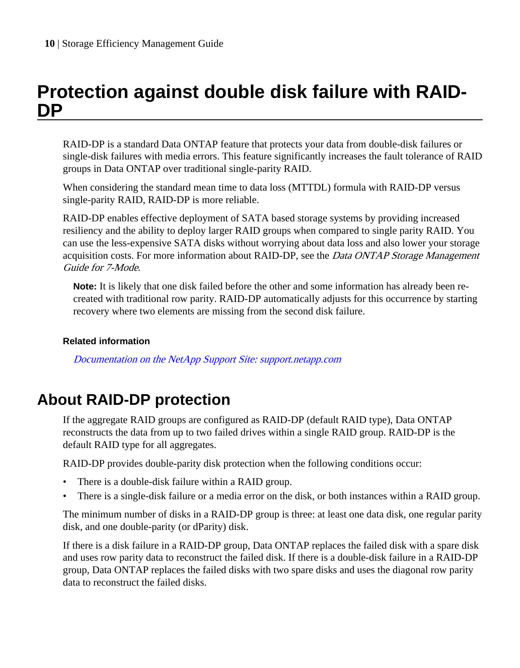## <span id="page-9-0"></span>**Protection against double disk failure with RAID-DP**

RAID-DP is a standard Data ONTAP feature that protects your data from double-disk failures or single-disk failures with media errors. This feature significantly increases the fault tolerance of RAID groups in Data ONTAP over traditional single-parity RAID.

When considering the standard mean time to data loss (MTTDL) formula with RAID-DP versus single-parity RAID, RAID-DP is more reliable.

RAID-DP enables effective deployment of SATA based storage systems by providing increased resiliency and the ability to deploy larger RAID groups when compared to single parity RAID. You can use the less-expensive SATA disks without worrying about data loss and also lower your storage acquisition costs. For more information about RAID-DP, see the *Data ONTAP Storage Management* Guide for 7-Mode.

**Note:** It is likely that one disk failed before the other and some information has already been recreated with traditional row parity. RAID-DP automatically adjusts for this occurrence by starting recovery where two elements are missing from the second disk failure.

#### **Related information**

[Documentation on the NetApp Support Site: support.netapp.com](http://support.netapp.com/)

## **About RAID-DP protection**

If the aggregate RAID groups are configured as RAID-DP (default RAID type), Data ONTAP reconstructs the data from up to two failed drives within a single RAID group. RAID-DP is the default RAID type for all aggregates.

RAID-DP provides double-parity disk protection when the following conditions occur:

- There is a double-disk failure within a RAID group.
- There is a single-disk failure or a media error on the disk, or both instances within a RAID group.

The minimum number of disks in a RAID-DP group is three: at least one data disk, one regular parity disk, and one double-parity (or dParity) disk.

If there is a disk failure in a RAID-DP group, Data ONTAP replaces the failed disk with a spare disk and uses row parity data to reconstruct the failed disk. If there is a double-disk failure in a RAID-DP group, Data ONTAP replaces the failed disks with two spare disks and uses the diagonal row parity data to reconstruct the failed disks.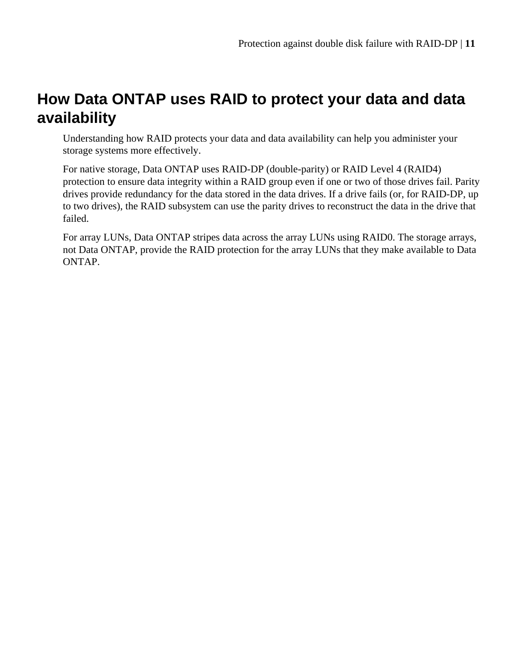## <span id="page-10-0"></span>**How Data ONTAP uses RAID to protect your data and data availability**

Understanding how RAID protects your data and data availability can help you administer your storage systems more effectively.

For native storage, Data ONTAP uses RAID-DP (double-parity) or RAID Level 4 (RAID4) protection to ensure data integrity within a RAID group even if one or two of those drives fail. Parity drives provide redundancy for the data stored in the data drives. If a drive fails (or, for RAID-DP, up to two drives), the RAID subsystem can use the parity drives to reconstruct the data in the drive that failed.

For array LUNs, Data ONTAP stripes data across the array LUNs using RAID0. The storage arrays, not Data ONTAP, provide the RAID protection for the array LUNs that they make available to Data ONTAP.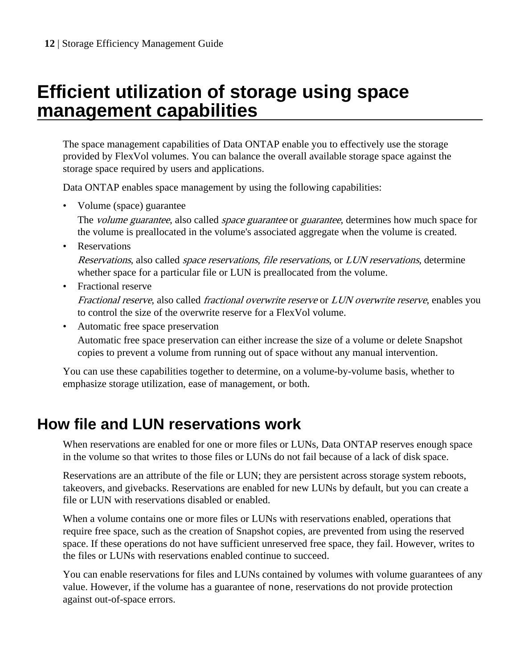# <span id="page-11-0"></span>**Efficient utilization of storage using space management capabilities**

The space management capabilities of Data ONTAP enable you to effectively use the storage provided by FlexVol volumes. You can balance the overall available storage space against the storage space required by users and applications.

Data ONTAP enables space management by using the following capabilities:

• Volume (space) guarantee

The *volume guarantee*, also called *space guarantee* or *guarantee*, determines how much space for the volume is preallocated in the volume's associated aggregate when the volume is created.

• Reservations

Reservations, also called space reservations, file reservations, or LUN reservations, determine whether space for a particular file or LUN is preallocated from the volume.

• Fractional reserve

Fractional reserve, also called fractional overwrite reserve or LUN overwrite reserve, enables you to control the size of the overwrite reserve for a FlexVol volume.

• Automatic free space preservation

Automatic free space preservation can either increase the size of a volume or delete Snapshot copies to prevent a volume from running out of space without any manual intervention.

You can use these capabilities together to determine, on a volume-by-volume basis, whether to emphasize storage utilization, ease of management, or both.

## **How file and LUN reservations work**

When reservations are enabled for one or more files or LUNs, Data ONTAP reserves enough space in the volume so that writes to those files or LUNs do not fail because of a lack of disk space.

Reservations are an attribute of the file or LUN; they are persistent across storage system reboots, takeovers, and givebacks. Reservations are enabled for new LUNs by default, but you can create a file or LUN with reservations disabled or enabled.

When a volume contains one or more files or LUNs with reservations enabled, operations that require free space, such as the creation of Snapshot copies, are prevented from using the reserved space. If these operations do not have sufficient unreserved free space, they fail. However, writes to the files or LUNs with reservations enabled continue to succeed.

You can enable reservations for files and LUNs contained by volumes with volume guarantees of any value. However, if the volume has a guarantee of none, reservations do not provide protection against out-of-space errors.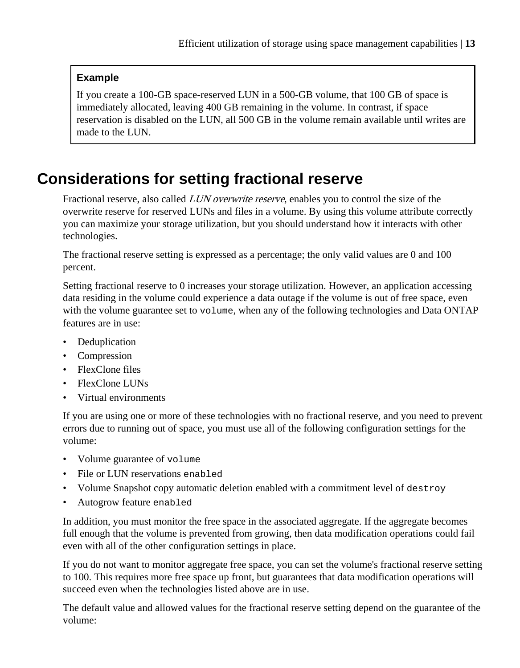#### <span id="page-12-0"></span>**Example**

If you create a 100-GB space-reserved LUN in a 500-GB volume, that 100 GB of space is immediately allocated, leaving 400 GB remaining in the volume. In contrast, if space reservation is disabled on the LUN, all 500 GB in the volume remain available until writes are made to the LUN.

## **Considerations for setting fractional reserve**

Fractional reserve, also called LUN overwrite reserve, enables you to control the size of the overwrite reserve for reserved LUNs and files in a volume. By using this volume attribute correctly you can maximize your storage utilization, but you should understand how it interacts with other technologies.

The fractional reserve setting is expressed as a percentage; the only valid values are 0 and 100 percent.

Setting fractional reserve to 0 increases your storage utilization. However, an application accessing data residing in the volume could experience a data outage if the volume is out of free space, even with the volume guarantee set to volume, when any of the following technologies and Data ONTAP features are in use:

- Deduplication
- Compression
- FlexClone files
- FlexClone LUNs
- Virtual environments

If you are using one or more of these technologies with no fractional reserve, and you need to prevent errors due to running out of space, you must use all of the following configuration settings for the volume:

- Volume guarantee of volume
- File or LUN reservations enabled
- Volume Snapshot copy automatic deletion enabled with a commitment level of destroy
- Autogrow feature enabled

In addition, you must monitor the free space in the associated aggregate. If the aggregate becomes full enough that the volume is prevented from growing, then data modification operations could fail even with all of the other configuration settings in place.

If you do not want to monitor aggregate free space, you can set the volume's fractional reserve setting to 100. This requires more free space up front, but guarantees that data modification operations will succeed even when the technologies listed above are in use.

The default value and allowed values for the fractional reserve setting depend on the guarantee of the volume: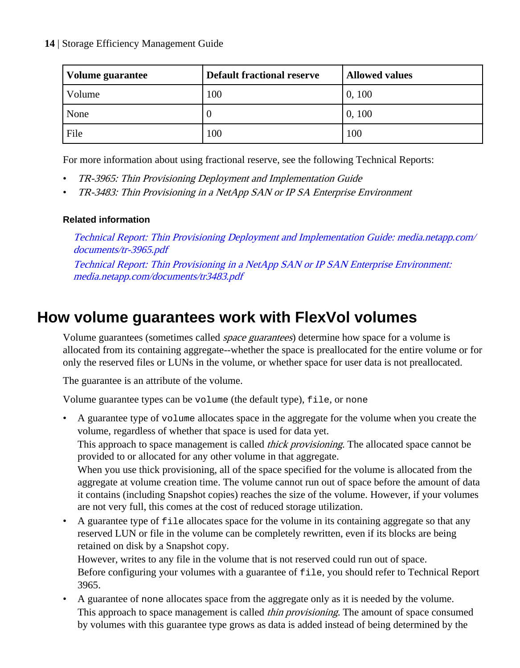#### <span id="page-13-0"></span>**14** | Storage Efficiency Management Guide

| Volume guarantee | <b>Default fractional reserve</b> | <b>Allowed values</b> |
|------------------|-----------------------------------|-----------------------|
| Volume           | 100                               | 0, 100                |
| None             | U                                 | 0, 100                |
| File             | 100                               | 100                   |

For more information about using fractional reserve, see the following Technical Reports:

- TR-3965: Thin Provisioning Deployment and Implementation Guide
- TR-3483: Thin Provisioning in a NetApp SAN or IP SA Enterprise Environment

#### **Related information**

[Technical Report: Thin Provisioning Deployment and Implementation Guide: media.netapp.com/](http://media.netapp.com/documents/tr-3965.pdf) [documents/tr-3965.pdf](http://media.netapp.com/documents/tr-3965.pdf) [Technical Report: Thin Provisioning in a NetApp SAN or IP SAN Enterprise Environment:](http://media.netapp.com/documents/tr3483.pdf) [media.netapp.com/documents/tr3483.pdf](http://media.netapp.com/documents/tr3483.pdf)

## **How volume guarantees work with FlexVol volumes**

Volume guarantees (sometimes called space guarantees) determine how space for a volume is allocated from its containing aggregate--whether the space is preallocated for the entire volume or for only the reserved files or LUNs in the volume, or whether space for user data is not preallocated.

The guarantee is an attribute of the volume.

Volume guarantee types can be volume (the default type), file, or none

• A guarantee type of volume allocates space in the aggregate for the volume when you create the volume, regardless of whether that space is used for data yet. This approach to space management is called *thick provisioning*. The allocated space cannot be provided to or allocated for any other volume in that aggregate. When you use thick provisioning, all of the space specified for the volume is allocated from the aggregate at volume creation time. The volume cannot run out of space before the amount of data it contains (including Snapshot copies) reaches the size of the volume. However, if your volumes are not very full, this comes at the cost of reduced storage utilization. • A guarantee type of file allocates space for the volume in its containing aggregate so that any reserved LUN or file in the volume can be completely rewritten, even if its blocks are being retained on disk by a Snapshot copy. However, writes to any file in the volume that is not reserved could run out of space.

Before configuring your volumes with a guarantee of file, you should refer to Technical Report 3965.

• A guarantee of none allocates space from the aggregate only as it is needed by the volume. This approach to space management is called *thin provisioning*. The amount of space consumed by volumes with this guarantee type grows as data is added instead of being determined by the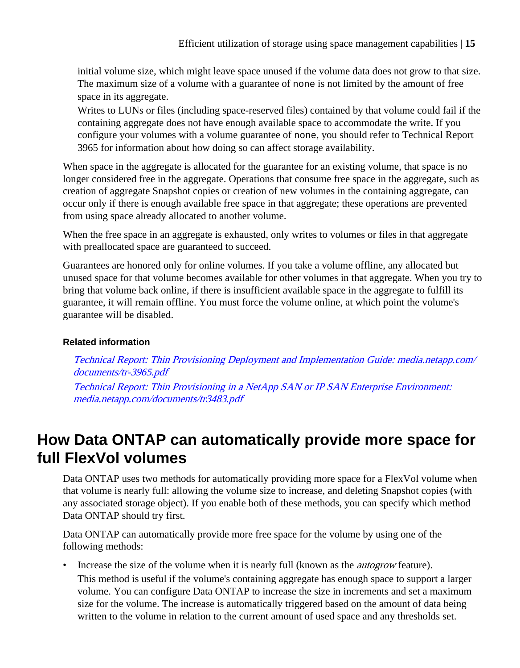<span id="page-14-0"></span>initial volume size, which might leave space unused if the volume data does not grow to that size. The maximum size of a volume with a guarantee of none is not limited by the amount of free space in its aggregate.

Writes to LUNs or files (including space-reserved files) contained by that volume could fail if the containing aggregate does not have enough available space to accommodate the write. If you configure your volumes with a volume guarantee of none, you should refer to Technical Report 3965 for information about how doing so can affect storage availability.

When space in the aggregate is allocated for the guarantee for an existing volume, that space is no longer considered free in the aggregate. Operations that consume free space in the aggregate, such as creation of aggregate Snapshot copies or creation of new volumes in the containing aggregate, can occur only if there is enough available free space in that aggregate; these operations are prevented from using space already allocated to another volume.

When the free space in an aggregate is exhausted, only writes to volumes or files in that aggregate with preallocated space are guaranteed to succeed.

Guarantees are honored only for online volumes. If you take a volume offline, any allocated but unused space for that volume becomes available for other volumes in that aggregate. When you try to bring that volume back online, if there is insufficient available space in the aggregate to fulfill its guarantee, it will remain offline. You must force the volume online, at which point the volume's guarantee will be disabled.

#### **Related information**

[Technical Report: Thin Provisioning Deployment and Implementation Guide: media.netapp.com/](http://media.netapp.com/documents/tr-3965.pdf) [documents/tr-3965.pdf](http://media.netapp.com/documents/tr-3965.pdf) [Technical Report: Thin Provisioning in a NetApp SAN or IP SAN Enterprise Environment:](http://media.netapp.com/documents/tr3483.pdf)

[media.netapp.com/documents/tr3483.pdf](http://media.netapp.com/documents/tr3483.pdf)

## **How Data ONTAP can automatically provide more space for full FlexVol volumes**

Data ONTAP uses two methods for automatically providing more space for a FlexVol volume when that volume is nearly full: allowing the volume size to increase, and deleting Snapshot copies (with any associated storage object). If you enable both of these methods, you can specify which method Data ONTAP should try first.

Data ONTAP can automatically provide more free space for the volume by using one of the following methods:

• Increase the size of the volume when it is nearly full (known as the *autogrow* feature). This method is useful if the volume's containing aggregate has enough space to support a larger volume. You can configure Data ONTAP to increase the size in increments and set a maximum size for the volume. The increase is automatically triggered based on the amount of data being written to the volume in relation to the current amount of used space and any thresholds set.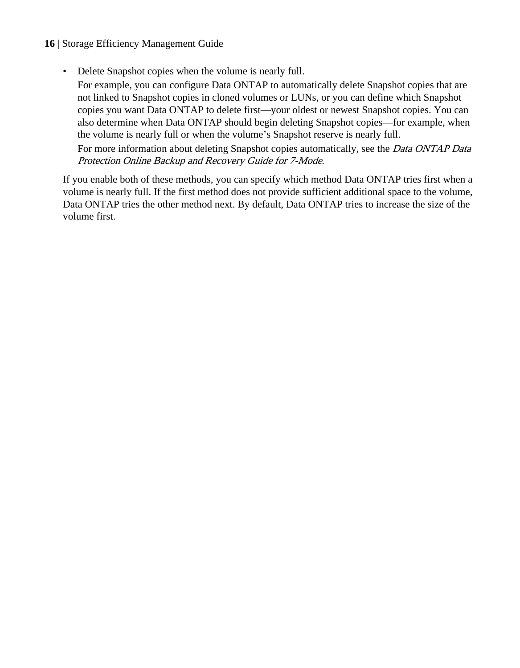#### **16** | Storage Efficiency Management Guide

• Delete Snapshot copies when the volume is nearly full.

For example, you can configure Data ONTAP to automatically delete Snapshot copies that are not linked to Snapshot copies in cloned volumes or LUNs, or you can define which Snapshot copies you want Data ONTAP to delete first—your oldest or newest Snapshot copies. You can also determine when Data ONTAP should begin deleting Snapshot copies—for example, when the volume is nearly full or when the volume's Snapshot reserve is nearly full.

For more information about deleting Snapshot copies automatically, see the *Data ONTAP Data* Protection Online Backup and Recovery Guide for 7-Mode.

If you enable both of these methods, you can specify which method Data ONTAP tries first when a volume is nearly full. If the first method does not provide sufficient additional space to the volume, Data ONTAP tries the other method next. By default, Data ONTAP tries to increase the size of the volume first.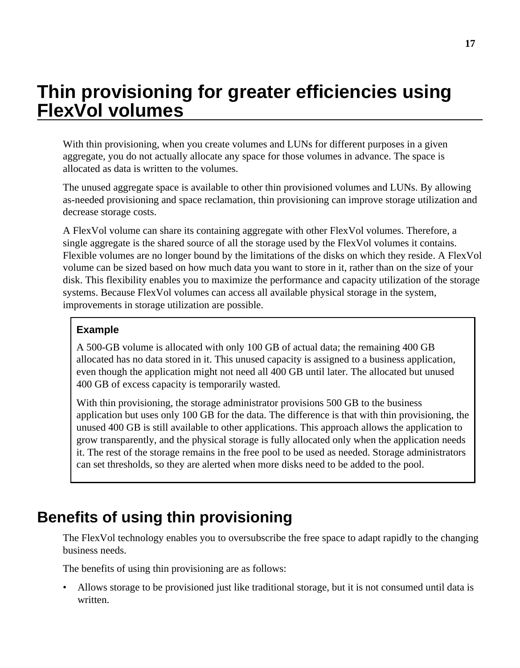# <span id="page-16-0"></span>**Thin provisioning for greater efficiencies using FlexVol volumes**

With thin provisioning, when you create volumes and LUNs for different purposes in a given aggregate, you do not actually allocate any space for those volumes in advance. The space is allocated as data is written to the volumes.

The unused aggregate space is available to other thin provisioned volumes and LUNs. By allowing as-needed provisioning and space reclamation, thin provisioning can improve storage utilization and decrease storage costs.

A FlexVol volume can share its containing aggregate with other FlexVol volumes. Therefore, a single aggregate is the shared source of all the storage used by the FlexVol volumes it contains. Flexible volumes are no longer bound by the limitations of the disks on which they reside. A FlexVol volume can be sized based on how much data you want to store in it, rather than on the size of your disk. This flexibility enables you to maximize the performance and capacity utilization of the storage systems. Because FlexVol volumes can access all available physical storage in the system, improvements in storage utilization are possible.

#### **Example**

A 500-GB volume is allocated with only 100 GB of actual data; the remaining 400 GB allocated has no data stored in it. This unused capacity is assigned to a business application, even though the application might not need all 400 GB until later. The allocated but unused 400 GB of excess capacity is temporarily wasted.

With thin provisioning, the storage administrator provisions 500 GB to the business application but uses only 100 GB for the data. The difference is that with thin provisioning, the unused 400 GB is still available to other applications. This approach allows the application to grow transparently, and the physical storage is fully allocated only when the application needs it. The rest of the storage remains in the free pool to be used as needed. Storage administrators can set thresholds, so they are alerted when more disks need to be added to the pool.

## **Benefits of using thin provisioning**

The FlexVol technology enables you to oversubscribe the free space to adapt rapidly to the changing business needs.

The benefits of using thin provisioning are as follows:

• Allows storage to be provisioned just like traditional storage, but it is not consumed until data is written.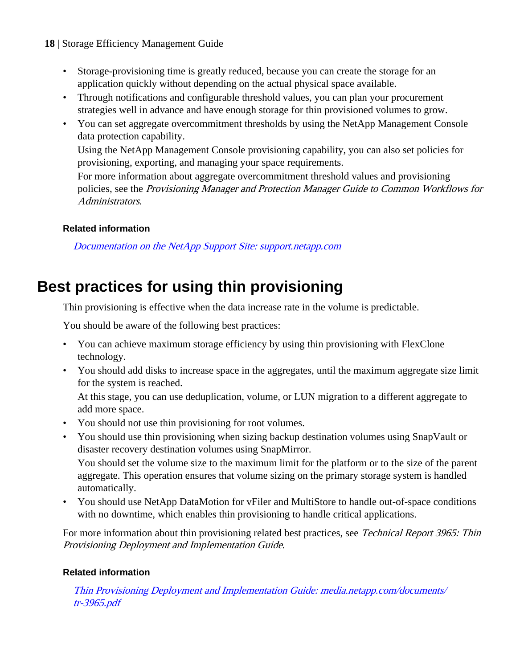- <span id="page-17-0"></span>**18** | Storage Efficiency Management Guide
	- Storage-provisioning time is greatly reduced, because you can create the storage for an application quickly without depending on the actual physical space available.
	- Through notifications and configurable threshold values, you can plan your procurement strategies well in advance and have enough storage for thin provisioned volumes to grow.
	- You can set aggregate overcommitment thresholds by using the NetApp Management Console data protection capability.

Using the NetApp Management Console provisioning capability, you can also set policies for provisioning, exporting, and managing your space requirements.

For more information about aggregate overcommitment threshold values and provisioning policies, see the Provisioning Manager and Protection Manager Guide to Common Workflows for Administrators.

#### **Related information**

[Documentation on the NetApp Support Site: support.netapp.com](http://support.netapp.com/)

## **Best practices for using thin provisioning**

Thin provisioning is effective when the data increase rate in the volume is predictable.

You should be aware of the following best practices:

- You can achieve maximum storage efficiency by using thin provisioning with FlexClone technology.
- You should add disks to increase space in the aggregates, until the maximum aggregate size limit for the system is reached.

At this stage, you can use deduplication, volume, or LUN migration to a different aggregate to add more space.

- You should not use thin provisioning for root volumes.
- You should use thin provisioning when sizing backup destination volumes using SnapVault or disaster recovery destination volumes using SnapMirror.

You should set the volume size to the maximum limit for the platform or to the size of the parent aggregate. This operation ensures that volume sizing on the primary storage system is handled automatically.

• You should use NetApp DataMotion for vFiler and MultiStore to handle out-of-space conditions with no downtime, which enables thin provisioning to handle critical applications.

For more information about thin provisioning related best practices, see Technical Report 3965: Thin Provisioning Deployment and Implementation Guide.

#### **Related information**

[Thin Provisioning Deployment and Implementation Guide: media.netapp.com/documents/](http://media.netapp.com/documents/tr-3965.pdf) [tr-3965.pdf](http://media.netapp.com/documents/tr-3965.pdf)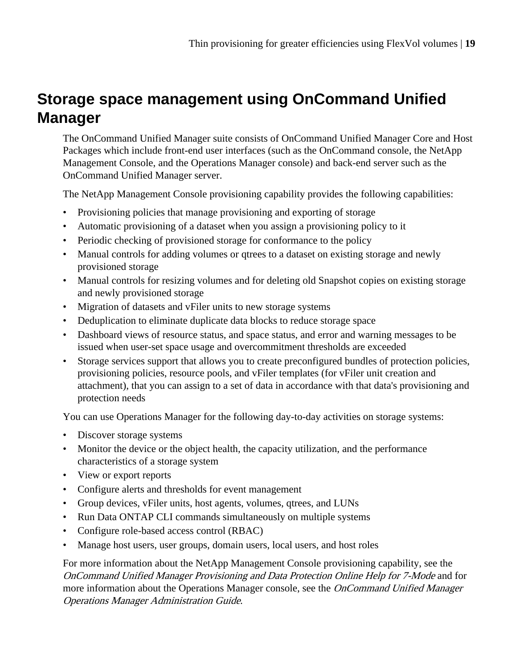## <span id="page-18-0"></span>**Storage space management using OnCommand Unified Manager**

The OnCommand Unified Manager suite consists of OnCommand Unified Manager Core and Host Packages which include front-end user interfaces (such as the OnCommand console, the NetApp Management Console, and the Operations Manager console) and back-end server such as the OnCommand Unified Manager server.

The NetApp Management Console provisioning capability provides the following capabilities:

- Provisioning policies that manage provisioning and exporting of storage
- Automatic provisioning of a dataset when you assign a provisioning policy to it
- Periodic checking of provisioned storage for conformance to the policy
- Manual controls for adding volumes or qtrees to a dataset on existing storage and newly provisioned storage
- Manual controls for resizing volumes and for deleting old Snapshot copies on existing storage and newly provisioned storage
- Migration of datasets and vFiler units to new storage systems
- Deduplication to eliminate duplicate data blocks to reduce storage space
- Dashboard views of resource status, and space status, and error and warning messages to be issued when user-set space usage and overcommitment thresholds are exceeded
- Storage services support that allows you to create preconfigured bundles of protection policies, provisioning policies, resource pools, and vFiler templates (for vFiler unit creation and attachment), that you can assign to a set of data in accordance with that data's provisioning and protection needs

You can use Operations Manager for the following day-to-day activities on storage systems:

- Discover storage systems
- Monitor the device or the object health, the capacity utilization, and the performance characteristics of a storage system
- View or export reports
- Configure alerts and thresholds for event management
- Group devices, vFiler units, host agents, volumes, qtrees, and LUNs
- Run Data ONTAP CLI commands simultaneously on multiple systems
- Configure role-based access control (RBAC)
- Manage host users, user groups, domain users, local users, and host roles

For more information about the NetApp Management Console provisioning capability, see the OnCommand Unified Manager Provisioning and Data Protection Online Help for 7-Mode and for more information about the Operations Manager console, see the *OnCommand Unified Manager* Operations Manager Administration Guide.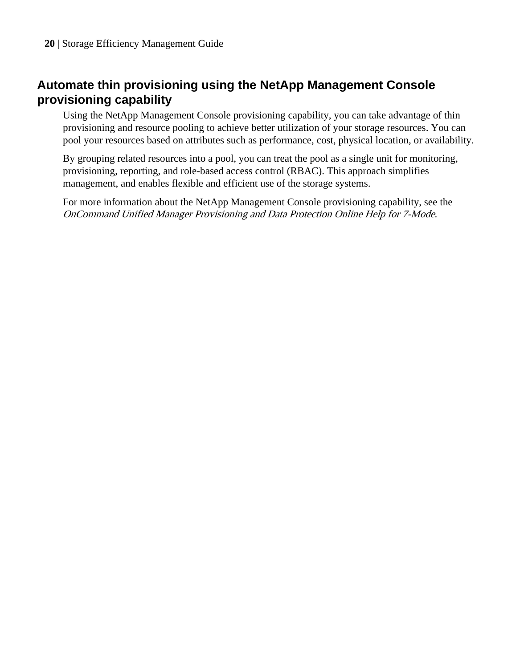## <span id="page-19-0"></span>**Automate thin provisioning using the NetApp Management Console provisioning capability**

Using the NetApp Management Console provisioning capability, you can take advantage of thin provisioning and resource pooling to achieve better utilization of your storage resources. You can pool your resources based on attributes such as performance, cost, physical location, or availability.

By grouping related resources into a pool, you can treat the pool as a single unit for monitoring, provisioning, reporting, and role-based access control (RBAC). This approach simplifies management, and enables flexible and efficient use of the storage systems.

For more information about the NetApp Management Console provisioning capability, see the OnCommand Unified Manager Provisioning and Data Protection Online Help for 7-Mode.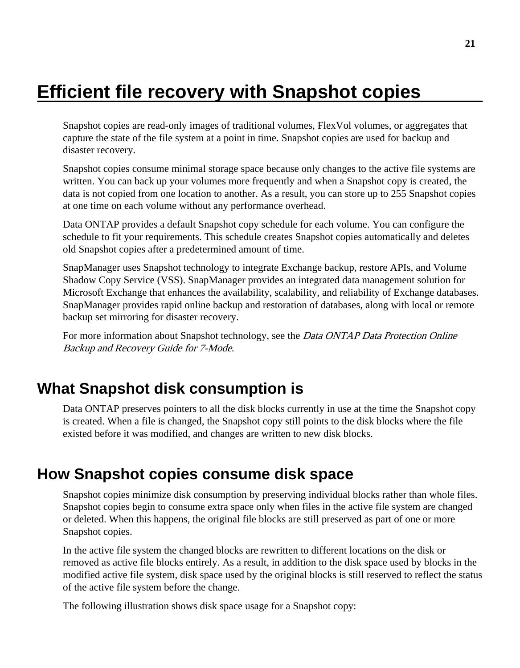# <span id="page-20-0"></span>**Efficient file recovery with Snapshot copies**

Snapshot copies are read-only images of traditional volumes, FlexVol volumes, or aggregates that capture the state of the file system at a point in time. Snapshot copies are used for backup and disaster recovery.

Snapshot copies consume minimal storage space because only changes to the active file systems are written. You can back up your volumes more frequently and when a Snapshot copy is created, the data is not copied from one location to another. As a result, you can store up to 255 Snapshot copies at one time on each volume without any performance overhead.

Data ONTAP provides a default Snapshot copy schedule for each volume. You can configure the schedule to fit your requirements. This schedule creates Snapshot copies automatically and deletes old Snapshot copies after a predetermined amount of time.

SnapManager uses Snapshot technology to integrate Exchange backup, restore APIs, and Volume Shadow Copy Service (VSS). SnapManager provides an integrated data management solution for Microsoft Exchange that enhances the availability, scalability, and reliability of Exchange databases. SnapManager provides rapid online backup and restoration of databases, along with local or remote backup set mirroring for disaster recovery.

For more information about Snapshot technology, see the *Data ONTAP Data Protection Online* Backup and Recovery Guide for 7-Mode.

## **What Snapshot disk consumption is**

Data ONTAP preserves pointers to all the disk blocks currently in use at the time the Snapshot copy is created. When a file is changed, the Snapshot copy still points to the disk blocks where the file existed before it was modified, and changes are written to new disk blocks.

## **How Snapshot copies consume disk space**

Snapshot copies minimize disk consumption by preserving individual blocks rather than whole files. Snapshot copies begin to consume extra space only when files in the active file system are changed or deleted. When this happens, the original file blocks are still preserved as part of one or more Snapshot copies.

In the active file system the changed blocks are rewritten to different locations on the disk or removed as active file blocks entirely. As a result, in addition to the disk space used by blocks in the modified active file system, disk space used by the original blocks is still reserved to reflect the status of the active file system before the change.

The following illustration shows disk space usage for a Snapshot copy: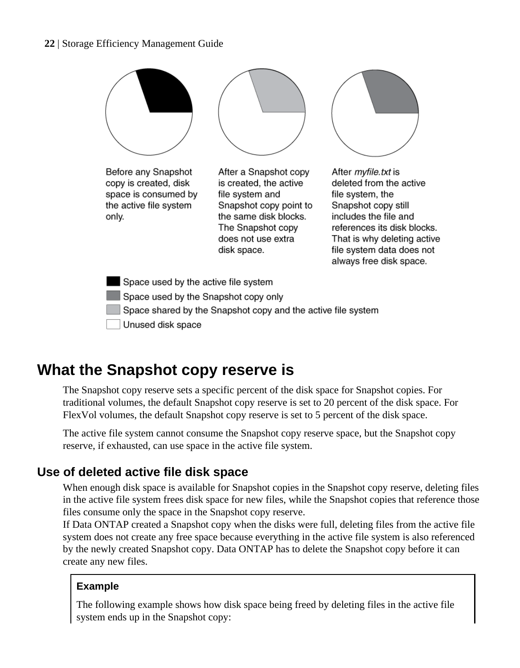#### <span id="page-21-0"></span>**22** | Storage Efficiency Management Guide



## **What the Snapshot copy reserve is**

The Snapshot copy reserve sets a specific percent of the disk space for Snapshot copies. For traditional volumes, the default Snapshot copy reserve is set to 20 percent of the disk space. For FlexVol volumes, the default Snapshot copy reserve is set to 5 percent of the disk space.

The active file system cannot consume the Snapshot copy reserve space, but the Snapshot copy reserve, if exhausted, can use space in the active file system.

### **Use of deleted active file disk space**

When enough disk space is available for Snapshot copies in the Snapshot copy reserve, deleting files in the active file system frees disk space for new files, while the Snapshot copies that reference those files consume only the space in the Snapshot copy reserve.

If Data ONTAP created a Snapshot copy when the disks were full, deleting files from the active file system does not create any free space because everything in the active file system is also referenced by the newly created Snapshot copy. Data ONTAP has to delete the Snapshot copy before it can create any new files.

#### **Example**

The following example shows how disk space being freed by deleting files in the active file system ends up in the Snapshot copy: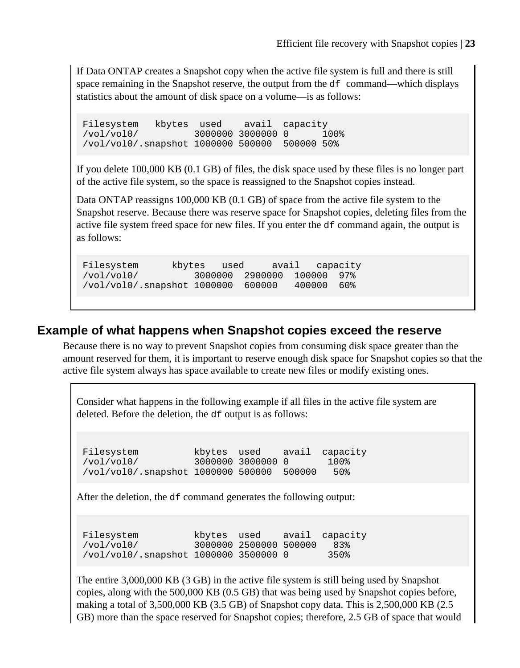<span id="page-22-0"></span>If Data ONTAP creates a Snapshot copy when the active file system is full and there is still space remaining in the Snapshot reserve, the output from the  $df$  command—which displays statistics about the amount of disk space on a volume—is as follows:

Filesystem kbytes used avail capacity<br>/vol/vol0/ 3000000 3000000 0 1 /vol/vol0/ 3000000 3000000 0 100% /vol/vol0/.snapshot 1000000 500000 500000 50%

If you delete 100,000 KB (0.1 GB) of files, the disk space used by these files is no longer part of the active file system, so the space is reassigned to the Snapshot copies instead.

Data ONTAP reassigns 100,000 KB (0.1 GB) of space from the active file system to the Snapshot reserve. Because there was reserve space for Snapshot copies, deleting files from the active file system freed space for new files. If you enter the df command again, the output is as follows:

Filesystem kbytes used avail capacity /vol/vol0/ 3000000 2900000 100000 97% /vol/vol0/.snapshot 1000000 600000 400000 60%

### **Example of what happens when Snapshot copies exceed the reserve**

Because there is no way to prevent Snapshot copies from consuming disk space greater than the amount reserved for them, it is important to reserve enough disk space for Snapshot copies so that the active file system always has space available to create new files or modify existing ones.

Consider what happens in the following example if all files in the active file system are deleted. Before the deletion, the df output is as follows:

Filesystem kbytes used avail capacity<br>
/vol/vol0/ 3000000 3000000 0 100% /vol/vol0/ 3000000 3000000 0 100% /vol/vol0/.snapshot 1000000 500000 500000 50%

After the deletion, the df command generates the following output:

Filesystem kbytes used avail capacity /vol/vol0/ 3000000 2500000 500000 83% /vol/vol0/.snapshot 1000000 3500000 0 350%

The entire 3,000,000 KB (3 GB) in the active file system is still being used by Snapshot copies, along with the 500,000 KB (0.5 GB) that was being used by Snapshot copies before, making a total of 3,500,000 KB (3.5 GB) of Snapshot copy data. This is 2,500,000 KB (2.5 GB) more than the space reserved for Snapshot copies; therefore, 2.5 GB of space that would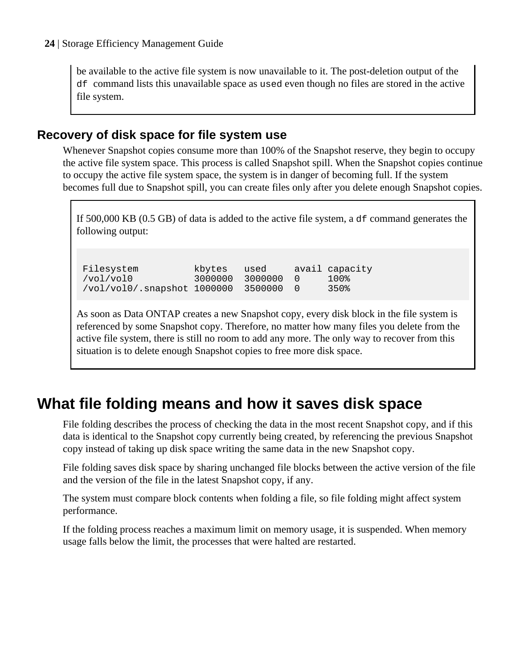<span id="page-23-0"></span>be available to the active file system is now unavailable to it. The post-deletion output of the df command lists this unavailable space as used even though no files are stored in the active file system.

### **Recovery of disk space for file system use**

Whenever Snapshot copies consume more than 100% of the Snapshot reserve, they begin to occupy the active file system space. This process is called Snapshot spill. When the Snapshot copies continue to occupy the active file system space, the system is in danger of becoming full. If the system becomes full due to Snapshot spill, you can create files only after you delete enough Snapshot copies.

If 500,000 KB (0.5 GB) of data is added to the active file system, a  $df$  command generates the following output:

Filesystem kbytes used avail capacity /vol/vol0 3000000 3000000 0 100% /vol/vol0/.snapshot 1000000 3500000 0

As soon as Data ONTAP creates a new Snapshot copy, every disk block in the file system is referenced by some Snapshot copy. Therefore, no matter how many files you delete from the active file system, there is still no room to add any more. The only way to recover from this situation is to delete enough Snapshot copies to free more disk space.

## **What file folding means and how it saves disk space**

File folding describes the process of checking the data in the most recent Snapshot copy, and if this data is identical to the Snapshot copy currently being created, by referencing the previous Snapshot copy instead of taking up disk space writing the same data in the new Snapshot copy.

File folding saves disk space by sharing unchanged file blocks between the active version of the file and the version of the file in the latest Snapshot copy, if any.

The system must compare block contents when folding a file, so file folding might affect system performance.

If the folding process reaches a maximum limit on memory usage, it is suspended. When memory usage falls below the limit, the processes that were halted are restarted.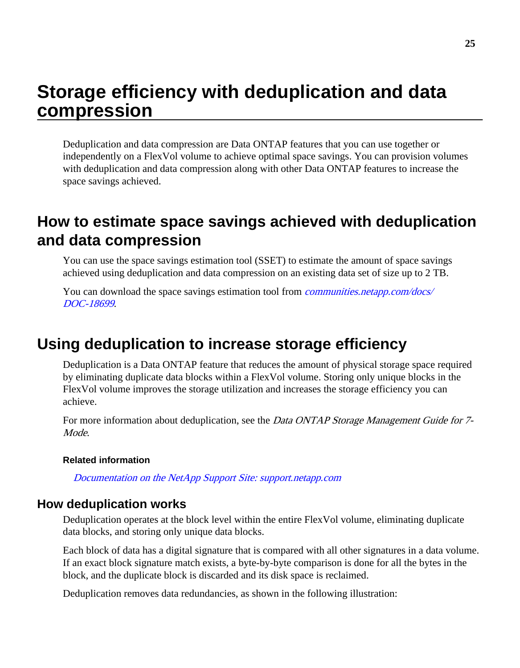## <span id="page-24-0"></span>**Storage efficiency with deduplication and data compression**

Deduplication and data compression are Data ONTAP features that you can use together or independently on a FlexVol volume to achieve optimal space savings. You can provision volumes with deduplication and data compression along with other Data ONTAP features to increase the space savings achieved.

## **How to estimate space savings achieved with deduplication and data compression**

You can use the space savings estimation tool (SSET) to estimate the amount of space savings achieved using deduplication and data compression on an existing data set of size up to 2 TB.

You can download the space savings estimation tool from *[communities.netapp.com/docs/](https://communities.netapp.com/docs/DOC-18699)* [DOC-18699](https://communities.netapp.com/docs/DOC-18699).

## **Using deduplication to increase storage efficiency**

Deduplication is a Data ONTAP feature that reduces the amount of physical storage space required by eliminating duplicate data blocks within a FlexVol volume. Storing only unique blocks in the FlexVol volume improves the storage utilization and increases the storage efficiency you can achieve.

For more information about deduplication, see the *Data ONTAP Storage Management Guide for* 7-Mode.

#### **Related information**

[Documentation on the NetApp Support Site: support.netapp.com](http://support.netapp.com/)

#### **How deduplication works**

Deduplication operates at the block level within the entire FlexVol volume, eliminating duplicate data blocks, and storing only unique data blocks.

Each block of data has a digital signature that is compared with all other signatures in a data volume. If an exact block signature match exists, a byte-by-byte comparison is done for all the bytes in the block, and the duplicate block is discarded and its disk space is reclaimed.

Deduplication removes data redundancies, as shown in the following illustration: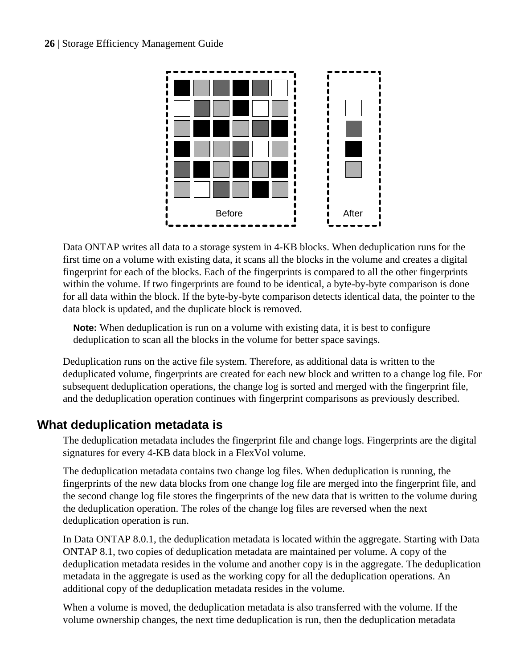<span id="page-25-0"></span>

Data ONTAP writes all data to a storage system in 4-KB blocks. When deduplication runs for the first time on a volume with existing data, it scans all the blocks in the volume and creates a digital fingerprint for each of the blocks. Each of the fingerprints is compared to all the other fingerprints within the volume. If two fingerprints are found to be identical, a byte-by-byte comparison is done for all data within the block. If the byte-by-byte comparison detects identical data, the pointer to the data block is updated, and the duplicate block is removed.

**Note:** When deduplication is run on a volume with existing data, it is best to configure deduplication to scan all the blocks in the volume for better space savings.

Deduplication runs on the active file system. Therefore, as additional data is written to the deduplicated volume, fingerprints are created for each new block and written to a change log file. For subsequent deduplication operations, the change log is sorted and merged with the fingerprint file, and the deduplication operation continues with fingerprint comparisons as previously described.

### **What deduplication metadata is**

The deduplication metadata includes the fingerprint file and change logs. Fingerprints are the digital signatures for every 4-KB data block in a FlexVol volume.

The deduplication metadata contains two change log files. When deduplication is running, the fingerprints of the new data blocks from one change log file are merged into the fingerprint file, and the second change log file stores the fingerprints of the new data that is written to the volume during the deduplication operation. The roles of the change log files are reversed when the next deduplication operation is run.

In Data ONTAP 8.0.1, the deduplication metadata is located within the aggregate. Starting with Data ONTAP 8.1, two copies of deduplication metadata are maintained per volume. A copy of the deduplication metadata resides in the volume and another copy is in the aggregate. The deduplication metadata in the aggregate is used as the working copy for all the deduplication operations. An additional copy of the deduplication metadata resides in the volume.

When a volume is moved, the deduplication metadata is also transferred with the volume. If the volume ownership changes, the next time deduplication is run, then the deduplication metadata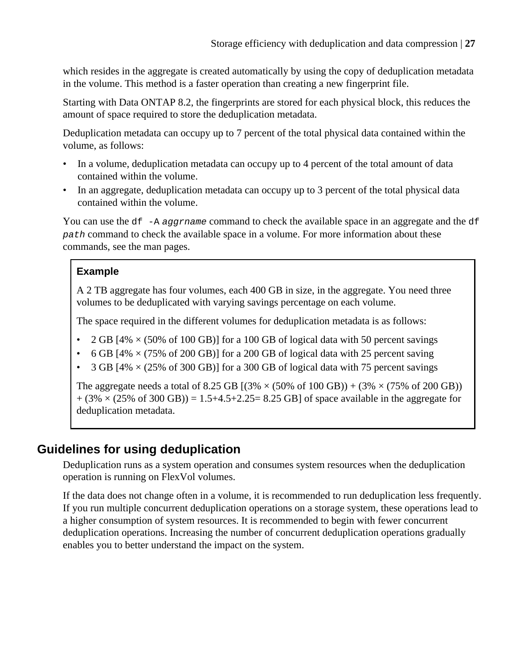<span id="page-26-0"></span>which resides in the aggregate is created automatically by using the copy of deduplication metadata in the volume. This method is a faster operation than creating a new fingerprint file.

Starting with Data ONTAP 8.2, the fingerprints are stored for each physical block, this reduces the amount of space required to store the deduplication metadata.

Deduplication metadata can occupy up to 7 percent of the total physical data contained within the volume, as follows:

- In a volume, deduplication metadata can occupy up to 4 percent of the total amount of data contained within the volume.
- In an aggregate, deduplication metadata can occupy up to 3 percent of the total physical data contained within the volume.

You can use the  $df$  -A aggrname command to check the available space in an aggregate and the  $df$ path command to check the available space in a volume. For more information about these commands, see the man pages.

### **Example**

A 2 TB aggregate has four volumes, each 400 GB in size, in the aggregate. You need three volumes to be deduplicated with varying savings percentage on each volume.

The space required in the different volumes for deduplication metadata is as follows:

- 2 GB  $[4\% \times (50\% \text{ of } 100 \text{ GB})]$  for a 100 GB of logical data with 50 percent savings
- 6 GB  $[4\% \times (75\% \text{ of } 200 \text{ GB})]$  for a 200 GB of logical data with 25 percent saving
- 3 GB  $[4\% \times (25\% \text{ of } 300 \text{ GB})]$  for a 300 GB of logical data with 75 percent savings

The aggregate needs a total of 8.25 GB  $[(3\% \times (50\% \text{ of } 100 \text{ GB})) + (3\% \times (75\% \text{ of } 200 \text{ GB}))$  $+(3\% \times (25\% \text{ of } 300 \text{ GB})) = 1.5+4.5+2.25=8.25 \text{ GB}$  of space available in the aggregate for deduplication metadata.

## **Guidelines for using deduplication**

Deduplication runs as a system operation and consumes system resources when the deduplication operation is running on FlexVol volumes.

If the data does not change often in a volume, it is recommended to run deduplication less frequently. If you run multiple concurrent deduplication operations on a storage system, these operations lead to a higher consumption of system resources. It is recommended to begin with fewer concurrent deduplication operations. Increasing the number of concurrent deduplication operations gradually enables you to better understand the impact on the system.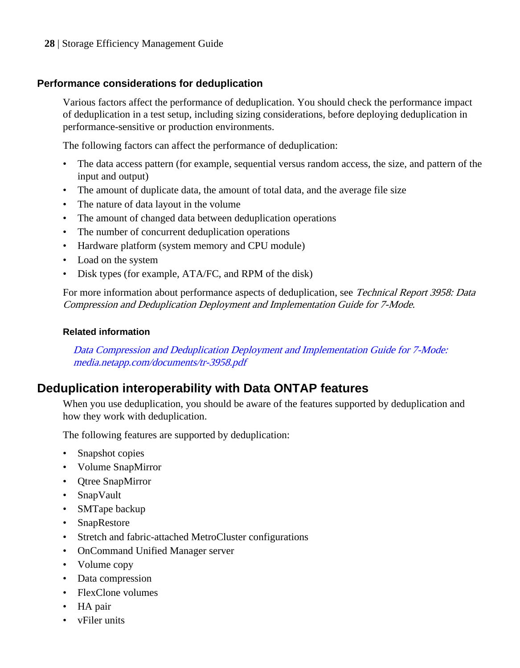#### <span id="page-27-0"></span>**Performance considerations for deduplication**

Various factors affect the performance of deduplication. You should check the performance impact of deduplication in a test setup, including sizing considerations, before deploying deduplication in performance-sensitive or production environments.

The following factors can affect the performance of deduplication:

- The data access pattern (for example, sequential versus random access, the size, and pattern of the input and output)
- The amount of duplicate data, the amount of total data, and the average file size
- The nature of data layout in the volume
- The amount of changed data between deduplication operations
- The number of concurrent deduplication operations
- Hardware platform (system memory and CPU module)
- Load on the system
- Disk types (for example, ATA/FC, and RPM of the disk)

For more information about performance aspects of deduplication, see Technical Report 3958: Data Compression and Deduplication Deployment and Implementation Guide for 7-Mode.

#### **Related information**

[Data Compression and Deduplication Deployment and Implementation Guide for 7-Mode:](http://media.netapp.com/documents/tr-3958.pdf) [media.netapp.com/documents/tr-3958.pdf](http://media.netapp.com/documents/tr-3958.pdf)

### **Deduplication interoperability with Data ONTAP features**

When you use deduplication, you should be aware of the features supported by deduplication and how they work with deduplication.

The following features are supported by deduplication:

- Snapshot copies
- Volume SnapMirror
- Qtree SnapMirror
- SnapVault
- SMTape backup
- SnapRestore
- Stretch and fabric-attached MetroCluster configurations
- OnCommand Unified Manager server
- Volume copy
- Data compression
- FlexClone volumes
- HA pair
- vFiler units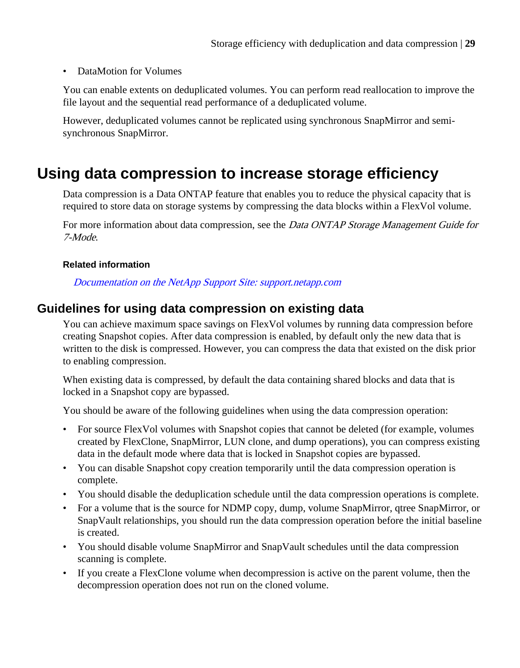#### <span id="page-28-0"></span>• DataMotion for Volumes

You can enable extents on deduplicated volumes. You can perform read reallocation to improve the file layout and the sequential read performance of a deduplicated volume.

However, deduplicated volumes cannot be replicated using synchronous SnapMirror and semisynchronous SnapMirror.

## **Using data compression to increase storage efficiency**

Data compression is a Data ONTAP feature that enables you to reduce the physical capacity that is required to store data on storage systems by compressing the data blocks within a FlexVol volume.

For more information about data compression, see the *Data ONTAP Storage Management Guide for* 7-Mode.

#### **Related information**

[Documentation on the NetApp Support Site: support.netapp.com](http://support.netapp.com/)

### **Guidelines for using data compression on existing data**

You can achieve maximum space savings on FlexVol volumes by running data compression before creating Snapshot copies. After data compression is enabled, by default only the new data that is written to the disk is compressed. However, you can compress the data that existed on the disk prior to enabling compression.

When existing data is compressed, by default the data containing shared blocks and data that is locked in a Snapshot copy are bypassed.

You should be aware of the following guidelines when using the data compression operation:

- For source FlexVol volumes with Snapshot copies that cannot be deleted (for example, volumes created by FlexClone, SnapMirror, LUN clone, and dump operations), you can compress existing data in the default mode where data that is locked in Snapshot copies are bypassed.
- You can disable Snapshot copy creation temporarily until the data compression operation is complete.
- You should disable the deduplication schedule until the data compression operations is complete.
- For a volume that is the source for NDMP copy, dump, volume SnapMirror, qtree SnapMirror, or SnapVault relationships, you should run the data compression operation before the initial baseline is created.
- You should disable volume SnapMirror and SnapVault schedules until the data compression scanning is complete.
- If you create a FlexClone volume when decompression is active on the parent volume, then the decompression operation does not run on the cloned volume.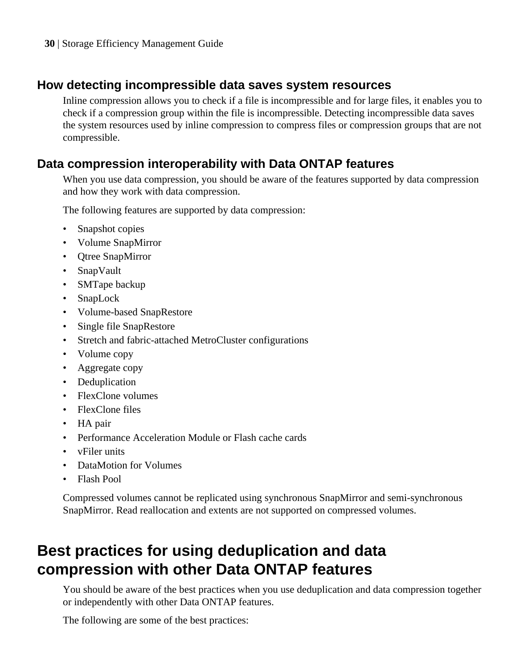### <span id="page-29-0"></span>**How detecting incompressible data saves system resources**

Inline compression allows you to check if a file is incompressible and for large files, it enables you to check if a compression group within the file is incompressible. Detecting incompressible data saves the system resources used by inline compression to compress files or compression groups that are not compressible.

### **Data compression interoperability with Data ONTAP features**

When you use data compression, you should be aware of the features supported by data compression and how they work with data compression.

The following features are supported by data compression:

- Snapshot copies
- Volume SnapMirror
- Qtree SnapMirror
- SnapVault
- SMTape backup
- SnapLock
- Volume-based SnapRestore
- Single file SnapRestore
- Stretch and fabric-attached MetroCluster configurations
- Volume copy
- Aggregate copy
- Deduplication
- FlexClone volumes
- FlexClone files
- HA pair
- Performance Acceleration Module or Flash cache cards
- vFiler units
- DataMotion for Volumes
- Flash Pool

Compressed volumes cannot be replicated using synchronous SnapMirror and semi-synchronous SnapMirror. Read reallocation and extents are not supported on compressed volumes.

## **Best practices for using deduplication and data compression with other Data ONTAP features**

You should be aware of the best practices when you use deduplication and data compression together or independently with other Data ONTAP features.

The following are some of the best practices: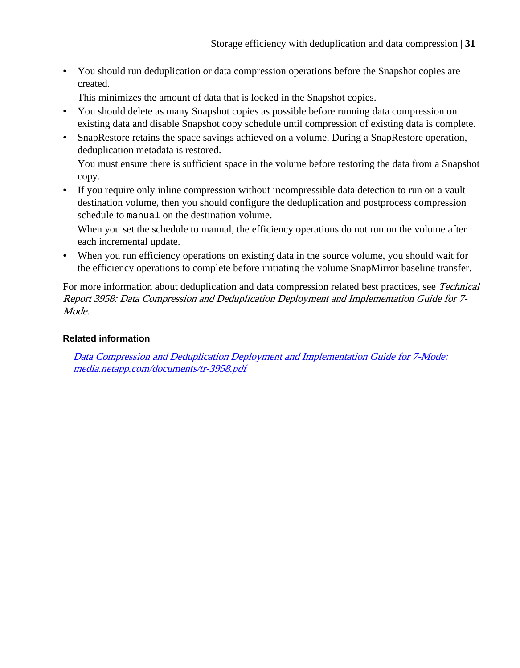• You should run deduplication or data compression operations before the Snapshot copies are created.

This minimizes the amount of data that is locked in the Snapshot copies.

- You should delete as many Snapshot copies as possible before running data compression on existing data and disable Snapshot copy schedule until compression of existing data is complete.
- SnapRestore retains the space savings achieved on a volume. During a SnapRestore operation, deduplication metadata is restored.

You must ensure there is sufficient space in the volume before restoring the data from a Snapshot copy.

• If you require only inline compression without incompressible data detection to run on a vault destination volume, then you should configure the deduplication and postprocess compression schedule to manual on the destination volume.

When you set the schedule to manual, the efficiency operations do not run on the volume after each incremental update.

• When you run efficiency operations on existing data in the source volume, you should wait for the efficiency operations to complete before initiating the volume SnapMirror baseline transfer.

For more information about deduplication and data compression related best practices, see Technical Report 3958: Data Compression and Deduplication Deployment and Implementation Guide for 7- Mode.

#### **Related information**

[Data Compression and Deduplication Deployment and Implementation Guide for 7-Mode:](http://media.netapp.com/documents/tr-3958.pdf) [media.netapp.com/documents/tr-3958.pdf](http://media.netapp.com/documents/tr-3958.pdf)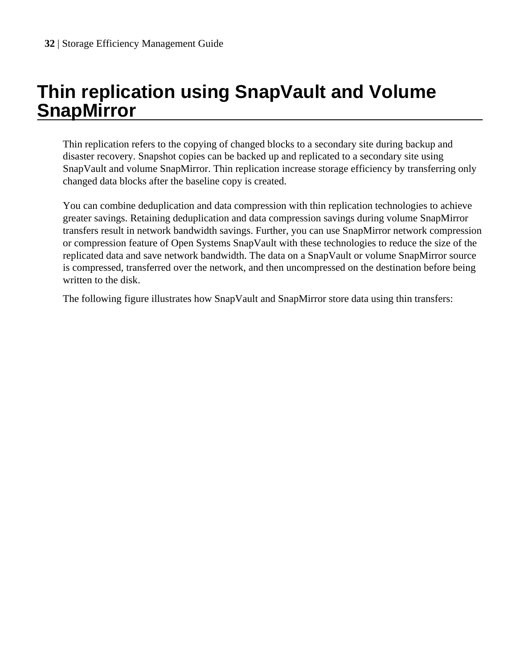# <span id="page-31-0"></span>**Thin replication using SnapVault and Volume SnapMirror**

Thin replication refers to the copying of changed blocks to a secondary site during backup and disaster recovery. Snapshot copies can be backed up and replicated to a secondary site using SnapVault and volume SnapMirror. Thin replication increase storage efficiency by transferring only changed data blocks after the baseline copy is created.

You can combine deduplication and data compression with thin replication technologies to achieve greater savings. Retaining deduplication and data compression savings during volume SnapMirror transfers result in network bandwidth savings. Further, you can use SnapMirror network compression or compression feature of Open Systems SnapVault with these technologies to reduce the size of the replicated data and save network bandwidth. The data on a SnapVault or volume SnapMirror source is compressed, transferred over the network, and then uncompressed on the destination before being written to the disk.

The following figure illustrates how SnapVault and SnapMirror store data using thin transfers: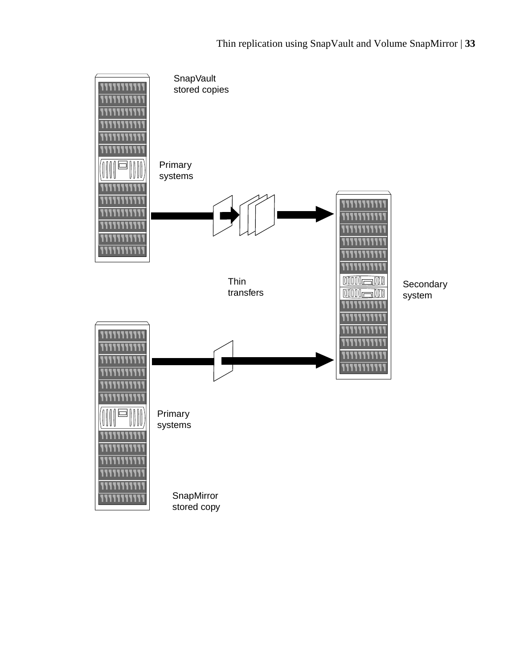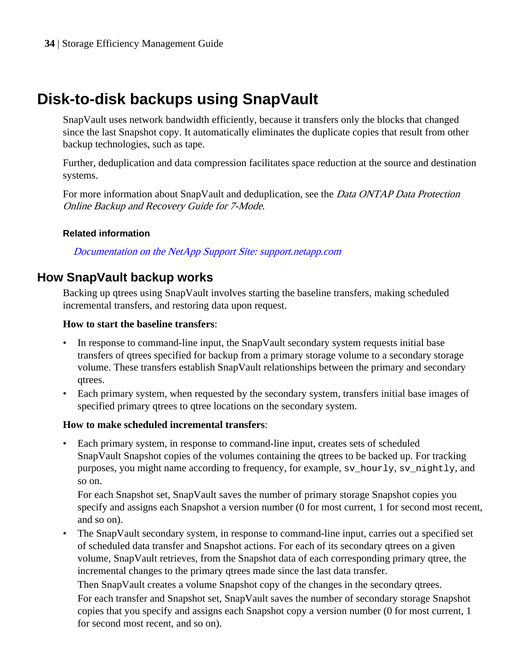## <span id="page-33-0"></span>**Disk-to-disk backups using SnapVault**

SnapVault uses network bandwidth efficiently, because it transfers only the blocks that changed since the last Snapshot copy. It automatically eliminates the duplicate copies that result from other backup technologies, such as tape.

Further, deduplication and data compression facilitates space reduction at the source and destination systems.

For more information about SnapVault and deduplication, see the *Data ONTAP Data Protection* Online Backup and Recovery Guide for 7-Mode.

#### **Related information**

[Documentation on the NetApp Support Site: support.netapp.com](http://support.netapp.com/)

### **How SnapVault backup works**

Backing up qtrees using SnapVault involves starting the baseline transfers, making scheduled incremental transfers, and restoring data upon request.

#### **How to start the baseline transfers**:

- In response to command-line input, the SnapVault secondary system requests initial base transfers of qtrees specified for backup from a primary storage volume to a secondary storage volume. These transfers establish SnapVault relationships between the primary and secondary qtrees.
- Each primary system, when requested by the secondary system, transfers initial base images of specified primary qtrees to qtree locations on the secondary system.

#### **How to make scheduled incremental transfers**:

• Each primary system, in response to command-line input, creates sets of scheduled SnapVault Snapshot copies of the volumes containing the qtrees to be backed up. For tracking purposes, you might name according to frequency, for example, sv\_hourly, sv\_nightly, and so on.

For each Snapshot set, SnapVault saves the number of primary storage Snapshot copies you specify and assigns each Snapshot a version number (0 for most current, 1 for second most recent, and so on).

• The SnapVault secondary system, in response to command-line input, carries out a specified set of scheduled data transfer and Snapshot actions. For each of its secondary qtrees on a given volume, SnapVault retrieves, from the Snapshot data of each corresponding primary qtree, the incremental changes to the primary qtrees made since the last data transfer.

Then SnapVault creates a volume Snapshot copy of the changes in the secondary qtrees. For each transfer and Snapshot set, SnapVault saves the number of secondary storage Snapshot copies that you specify and assigns each Snapshot copy a version number (0 for most current, 1 for second most recent, and so on).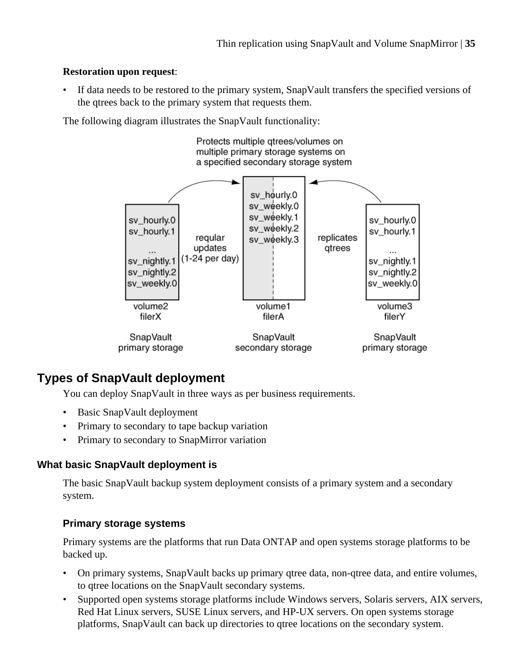#### <span id="page-34-0"></span>**Restoration upon request**:

• If data needs to be restored to the primary system, SnapVault transfers the specified versions of the qtrees back to the primary system that requests them.

The following diagram illustrates the SnapVault functionality:



## **Types of SnapVault deployment**

You can deploy SnapVault in three ways as per business requirements.

- Basic SnapVault deployment
- Primary to secondary to tape backup variation
- Primary to secondary to SnapMirror variation

#### **What basic SnapVault deployment is**

The basic SnapVault backup system deployment consists of a primary system and a secondary system.

#### **Primary storage systems**

Primary systems are the platforms that run Data ONTAP and open systems storage platforms to be backed up.

- On primary systems, SnapVault backs up primary qtree data, non-qtree data, and entire volumes, to qtree locations on the SnapVault secondary systems.
- Supported open systems storage platforms include Windows servers, Solaris servers, AIX servers, Red Hat Linux servers, SUSE Linux servers, and HP-UX servers. On open systems storage platforms, SnapVault can back up directories to qtree locations on the secondary system.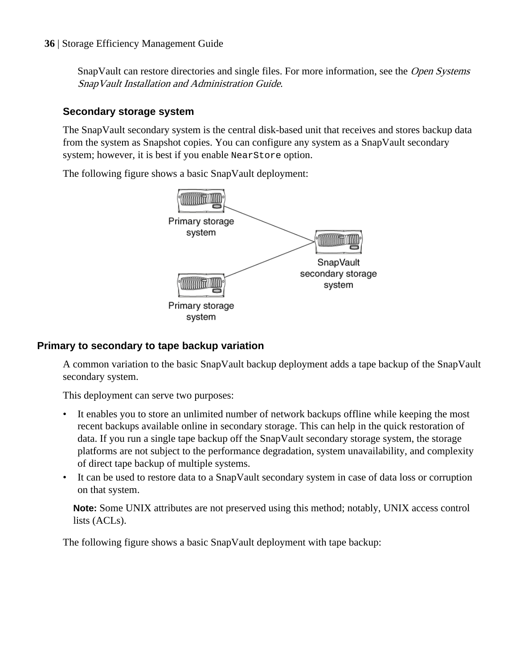<span id="page-35-0"></span>SnapVault can restore directories and single files. For more information, see the *Open Systems* SnapVault Installation and Administration Guide.

### **Secondary storage system**

The SnapVault secondary system is the central disk-based unit that receives and stores backup data from the system as Snapshot copies. You can configure any system as a SnapVault secondary system; however, it is best if you enable NearStore option.

The following figure shows a basic SnapVault deployment:



#### **Primary to secondary to tape backup variation**

A common variation to the basic SnapVault backup deployment adds a tape backup of the SnapVault secondary system.

This deployment can serve two purposes:

- It enables you to store an unlimited number of network backups offline while keeping the most recent backups available online in secondary storage. This can help in the quick restoration of data. If you run a single tape backup off the SnapVault secondary storage system, the storage platforms are not subject to the performance degradation, system unavailability, and complexity of direct tape backup of multiple systems.
- It can be used to restore data to a SnapVault secondary system in case of data loss or corruption on that system.

**Note:** Some UNIX attributes are not preserved using this method; notably, UNIX access control lists (ACLs).

The following figure shows a basic SnapVault deployment with tape backup: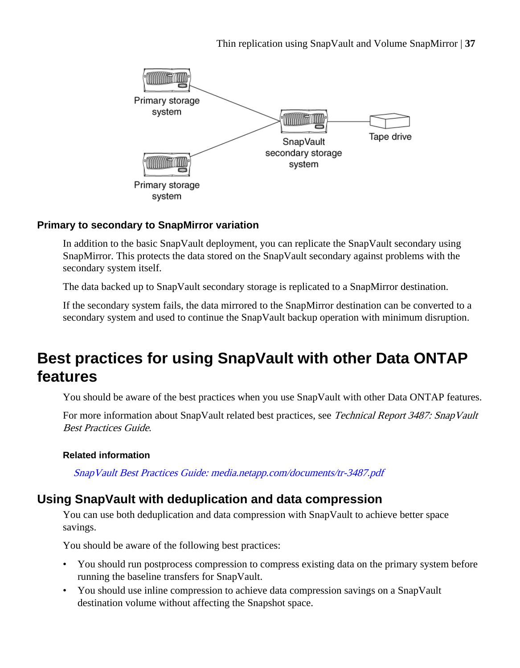<span id="page-36-0"></span>

#### **Primary to secondary to SnapMirror variation**

In addition to the basic SnapVault deployment, you can replicate the SnapVault secondary using SnapMirror. This protects the data stored on the SnapVault secondary against problems with the secondary system itself.

The data backed up to SnapVault secondary storage is replicated to a SnapMirror destination.

If the secondary system fails, the data mirrored to the SnapMirror destination can be converted to a secondary system and used to continue the SnapVault backup operation with minimum disruption.

## **Best practices for using SnapVault with other Data ONTAP features**

You should be aware of the best practices when you use SnapVault with other Data ONTAP features.

For more information about SnapVault related best practices, see Technical Report 3487: SnapVault Best Practices Guide.

#### **Related information**

[SnapVault Best Practices Guide: media.netapp.com/documents/tr-3487.pdf](http://media.netapp.com/documents/tr-3487.pdf)

### **Using SnapVault with deduplication and data compression**

You can use both deduplication and data compression with SnapVault to achieve better space savings.

You should be aware of the following best practices:

- You should run postprocess compression to compress existing data on the primary system before running the baseline transfers for SnapVault.
- You should use inline compression to achieve data compression savings on a SnapVault destination volume without affecting the Snapshot space.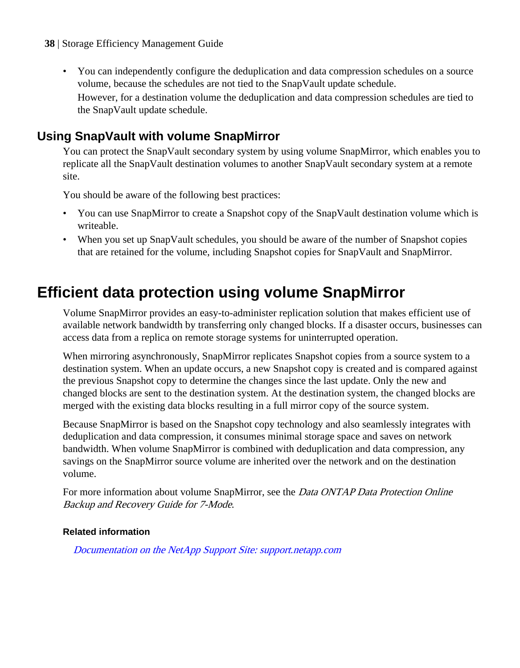- <span id="page-37-0"></span>**38** | Storage Efficiency Management Guide
	- You can independently configure the deduplication and data compression schedules on a source volume, because the schedules are not tied to the SnapVault update schedule. However, for a destination volume the deduplication and data compression schedules are tied to the SnapVault update schedule.

### **Using SnapVault with volume SnapMirror**

You can protect the SnapVault secondary system by using volume SnapMirror, which enables you to replicate all the SnapVault destination volumes to another SnapVault secondary system at a remote site.

You should be aware of the following best practices:

- You can use SnapMirror to create a Snapshot copy of the SnapVault destination volume which is writeable.
- When you set up SnapVault schedules, you should be aware of the number of Snapshot copies that are retained for the volume, including Snapshot copies for SnapVault and SnapMirror.

## **Efficient data protection using volume SnapMirror**

Volume SnapMirror provides an easy-to-administer replication solution that makes efficient use of available network bandwidth by transferring only changed blocks. If a disaster occurs, businesses can access data from a replica on remote storage systems for uninterrupted operation.

When mirroring asynchronously, SnapMirror replicates Snapshot copies from a source system to a destination system. When an update occurs, a new Snapshot copy is created and is compared against the previous Snapshot copy to determine the changes since the last update. Only the new and changed blocks are sent to the destination system. At the destination system, the changed blocks are merged with the existing data blocks resulting in a full mirror copy of the source system.

Because SnapMirror is based on the Snapshot copy technology and also seamlessly integrates with deduplication and data compression, it consumes minimal storage space and saves on network bandwidth. When volume SnapMirror is combined with deduplication and data compression, any savings on the SnapMirror source volume are inherited over the network and on the destination volume.

For more information about volume SnapMirror, see the *Data ONTAP Data Protection Online* Backup and Recovery Guide for 7-Mode.

#### **Related information**

[Documentation on the NetApp Support Site: support.netapp.com](http://support.netapp.com/)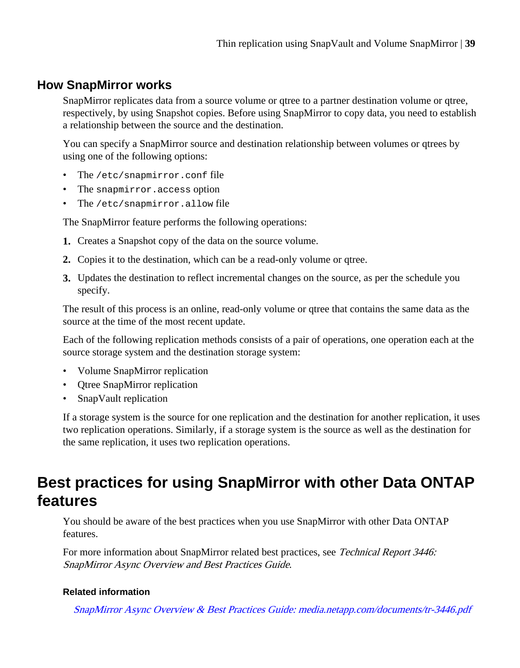### <span id="page-38-0"></span>**How SnapMirror works**

SnapMirror replicates data from a source volume or qtree to a partner destination volume or qtree, respectively, by using Snapshot copies. Before using SnapMirror to copy data, you need to establish a relationship between the source and the destination.

You can specify a SnapMirror source and destination relationship between volumes or qtrees by using one of the following options:

- The /etc/snapmirror.conf file
- The snapmirror.access option
- The /etc/snapmirror.allow file

The SnapMirror feature performs the following operations:

- **1.** Creates a Snapshot copy of the data on the source volume.
- **2.** Copies it to the destination, which can be a read-only volume or qtree.
- **3.** Updates the destination to reflect incremental changes on the source, as per the schedule you specify.

The result of this process is an online, read-only volume or qtree that contains the same data as the source at the time of the most recent update.

Each of the following replication methods consists of a pair of operations, one operation each at the source storage system and the destination storage system:

- Volume SnapMirror replication
- Qtree SnapMirror replication
- SnapVault replication

If a storage system is the source for one replication and the destination for another replication, it uses two replication operations. Similarly, if a storage system is the source as well as the destination for the same replication, it uses two replication operations.

## **Best practices for using SnapMirror with other Data ONTAP features**

You should be aware of the best practices when you use SnapMirror with other Data ONTAP features.

For more information about SnapMirror related best practices, see Technical Report 3446: SnapMirror Async Overview and Best Practices Guide.

#### **Related information**

[SnapMirror Async Overview & Best Practices Guide: media.netapp.com/documents/tr-3446.pdf](http://media.netapp.com/documents/tr-3446.pdf)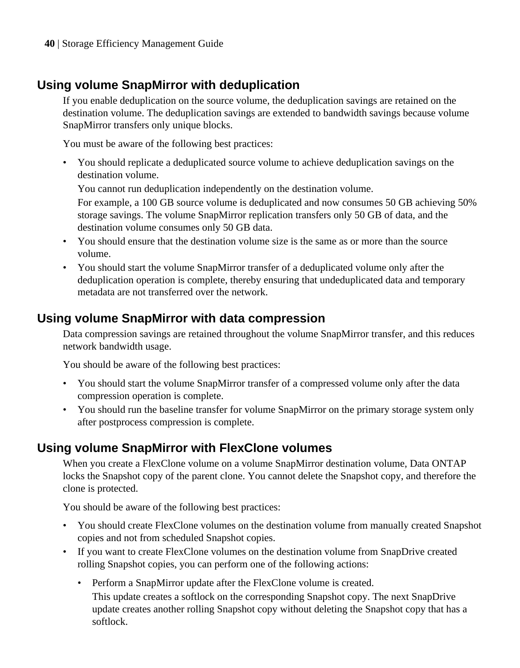## <span id="page-39-0"></span>**Using volume SnapMirror with deduplication**

If you enable deduplication on the source volume, the deduplication savings are retained on the destination volume. The deduplication savings are extended to bandwidth savings because volume SnapMirror transfers only unique blocks.

You must be aware of the following best practices:

• You should replicate a deduplicated source volume to achieve deduplication savings on the destination volume.

You cannot run deduplication independently on the destination volume.

For example, a 100 GB source volume is deduplicated and now consumes 50 GB achieving 50% storage savings. The volume SnapMirror replication transfers only 50 GB of data, and the destination volume consumes only 50 GB data.

- You should ensure that the destination volume size is the same as or more than the source volume.
- You should start the volume SnapMirror transfer of a deduplicated volume only after the deduplication operation is complete, thereby ensuring that undeduplicated data and temporary metadata are not transferred over the network.

## **Using volume SnapMirror with data compression**

Data compression savings are retained throughout the volume SnapMirror transfer, and this reduces network bandwidth usage.

You should be aware of the following best practices:

- You should start the volume SnapMirror transfer of a compressed volume only after the data compression operation is complete.
- You should run the baseline transfer for volume SnapMirror on the primary storage system only after postprocess compression is complete.

## **Using volume SnapMirror with FlexClone volumes**

When you create a FlexClone volume on a volume SnapMirror destination volume, Data ONTAP locks the Snapshot copy of the parent clone. You cannot delete the Snapshot copy, and therefore the clone is protected.

You should be aware of the following best practices:

- You should create FlexClone volumes on the destination volume from manually created Snapshot copies and not from scheduled Snapshot copies.
- If you want to create FlexClone volumes on the destination volume from SnapDrive created rolling Snapshot copies, you can perform one of the following actions:
	- Perform a SnapMirror update after the FlexClone volume is created. This update creates a softlock on the corresponding Snapshot copy. The next SnapDrive update creates another rolling Snapshot copy without deleting the Snapshot copy that has a softlock.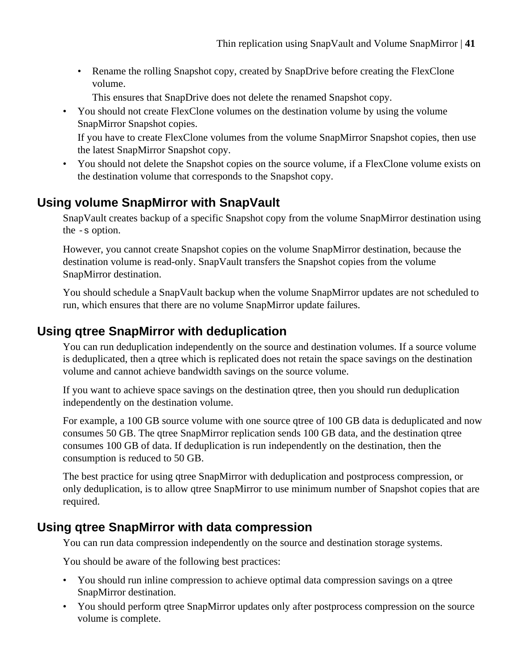<span id="page-40-0"></span>• Rename the rolling Snapshot copy, created by SnapDrive before creating the FlexClone volume.

This ensures that SnapDrive does not delete the renamed Snapshot copy.

• You should not create FlexClone volumes on the destination volume by using the volume SnapMirror Snapshot copies.

If you have to create FlexClone volumes from the volume SnapMirror Snapshot copies, then use the latest SnapMirror Snapshot copy.

• You should not delete the Snapshot copies on the source volume, if a FlexClone volume exists on the destination volume that corresponds to the Snapshot copy.

## **Using volume SnapMirror with SnapVault**

SnapVault creates backup of a specific Snapshot copy from the volume SnapMirror destination using the -s option.

However, you cannot create Snapshot copies on the volume SnapMirror destination, because the destination volume is read-only. SnapVault transfers the Snapshot copies from the volume SnapMirror destination.

You should schedule a SnapVault backup when the volume SnapMirror updates are not scheduled to run, which ensures that there are no volume SnapMirror update failures.

### **Using qtree SnapMirror with deduplication**

You can run deduplication independently on the source and destination volumes. If a source volume is deduplicated, then a qtree which is replicated does not retain the space savings on the destination volume and cannot achieve bandwidth savings on the source volume.

If you want to achieve space savings on the destination qtree, then you should run deduplication independently on the destination volume.

For example, a 100 GB source volume with one source qtree of 100 GB data is deduplicated and now consumes 50 GB. The qtree SnapMirror replication sends 100 GB data, and the destination qtree consumes 100 GB of data. If deduplication is run independently on the destination, then the consumption is reduced to 50 GB.

The best practice for using qtree SnapMirror with deduplication and postprocess compression, or only deduplication, is to allow qtree SnapMirror to use minimum number of Snapshot copies that are required.

### **Using qtree SnapMirror with data compression**

You can run data compression independently on the source and destination storage systems.

You should be aware of the following best practices:

- You should run inline compression to achieve optimal data compression savings on a qtree SnapMirror destination.
- You should perform qtree SnapMirror updates only after postprocess compression on the source volume is complete.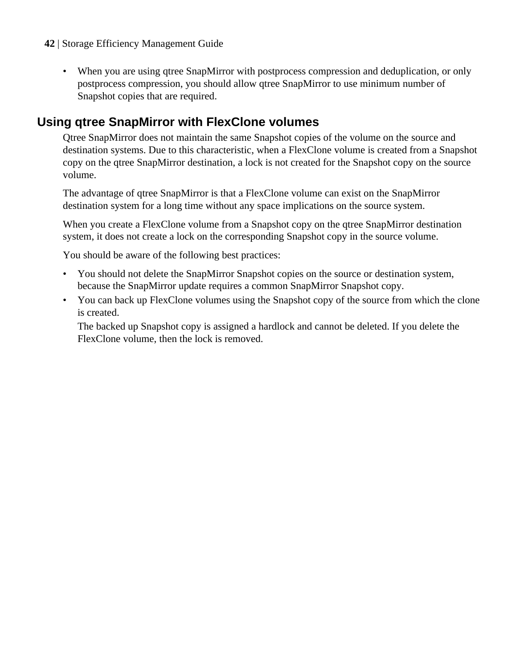- <span id="page-41-0"></span>**42** | Storage Efficiency Management Guide
	- When you are using qtree SnapMirror with postprocess compression and deduplication, or only postprocess compression, you should allow qtree SnapMirror to use minimum number of Snapshot copies that are required.

## **Using qtree SnapMirror with FlexClone volumes**

Qtree SnapMirror does not maintain the same Snapshot copies of the volume on the source and destination systems. Due to this characteristic, when a FlexClone volume is created from a Snapshot copy on the qtree SnapMirror destination, a lock is not created for the Snapshot copy on the source volume.

The advantage of qtree SnapMirror is that a FlexClone volume can exist on the SnapMirror destination system for a long time without any space implications on the source system.

When you create a FlexClone volume from a Snapshot copy on the qtree SnapMirror destination system, it does not create a lock on the corresponding Snapshot copy in the source volume.

You should be aware of the following best practices:

- You should not delete the SnapMirror Snapshot copies on the source or destination system, because the SnapMirror update requires a common SnapMirror Snapshot copy.
- You can back up FlexClone volumes using the Snapshot copy of the source from which the clone is created.

The backed up Snapshot copy is assigned a hardlock and cannot be deleted. If you delete the FlexClone volume, then the lock is removed.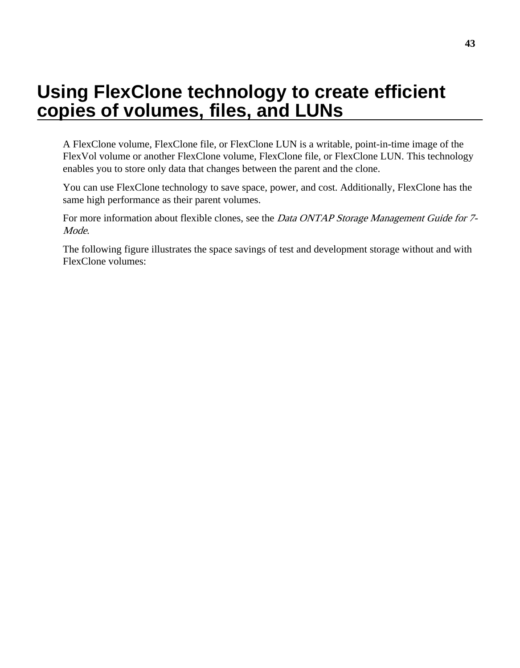# <span id="page-42-0"></span>**Using FlexClone technology to create efficient copies of volumes, files, and LUNs**

A FlexClone volume, FlexClone file, or FlexClone LUN is a writable, point-in-time image of the FlexVol volume or another FlexClone volume, FlexClone file, or FlexClone LUN. This technology enables you to store only data that changes between the parent and the clone.

You can use FlexClone technology to save space, power, and cost. Additionally, FlexClone has the same high performance as their parent volumes.

For more information about flexible clones, see the *Data ONTAP Storage Management Guide for* 7-Mode.

The following figure illustrates the space savings of test and development storage without and with FlexClone volumes: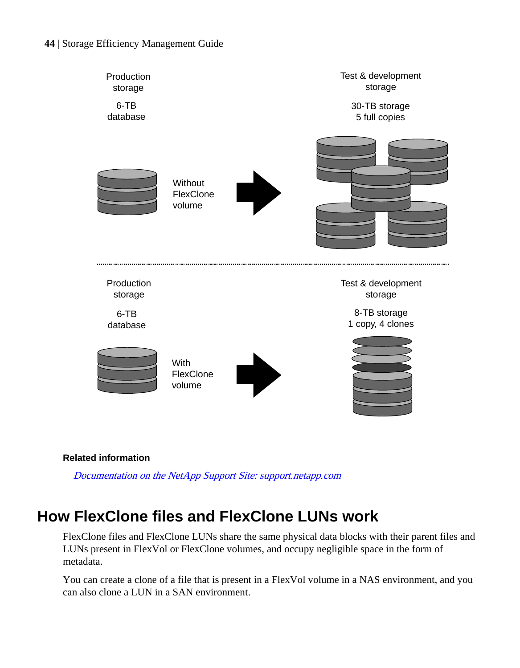<span id="page-43-0"></span>

#### **Related information**

[Documentation on the NetApp Support Site: support.netapp.com](http://support.netapp.com/)

## **How FlexClone files and FlexClone LUNs work**

FlexClone files and FlexClone LUNs share the same physical data blocks with their parent files and LUNs present in FlexVol or FlexClone volumes, and occupy negligible space in the form of metadata.

You can create a clone of a file that is present in a FlexVol volume in a NAS environment, and you can also clone a LUN in a SAN environment.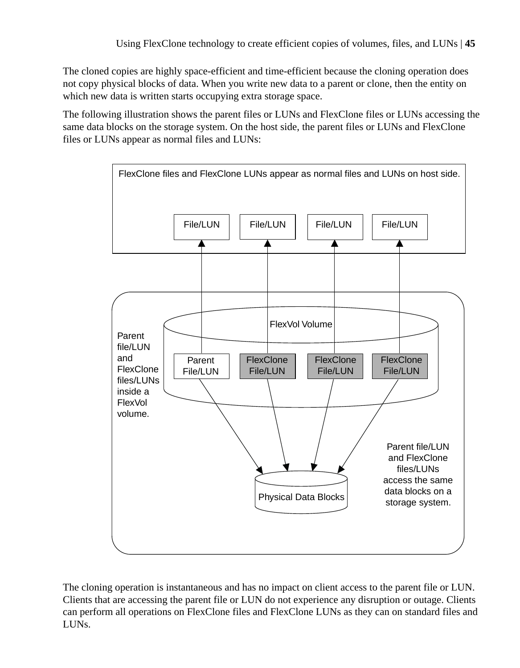The cloned copies are highly space-efficient and time-efficient because the cloning operation does not copy physical blocks of data. When you write new data to a parent or clone, then the entity on which new data is written starts occupying extra storage space.

The following illustration shows the parent files or LUNs and FlexClone files or LUNs accessing the same data blocks on the storage system. On the host side, the parent files or LUNs and FlexClone files or LUNs appear as normal files and LUNs:



The cloning operation is instantaneous and has no impact on client access to the parent file or LUN. Clients that are accessing the parent file or LUN do not experience any disruption or outage. Clients can perform all operations on FlexClone files and FlexClone LUNs as they can on standard files and LUNs.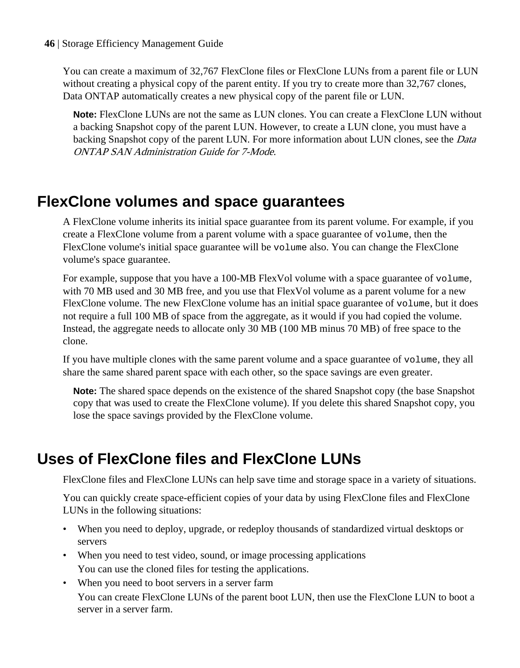<span id="page-45-0"></span>You can create a maximum of 32,767 FlexClone files or FlexClone LUNs from a parent file or LUN without creating a physical copy of the parent entity. If you try to create more than 32,767 clones, Data ONTAP automatically creates a new physical copy of the parent file or LUN.

**Note:** FlexClone LUNs are not the same as LUN clones. You can create a FlexClone LUN without a backing Snapshot copy of the parent LUN. However, to create a LUN clone, you must have a backing Snapshot copy of the parent LUN. For more information about LUN clones, see the *Data* ONTAP SAN Administration Guide for 7-Mode.

## **FlexClone volumes and space guarantees**

A FlexClone volume inherits its initial space guarantee from its parent volume. For example, if you create a FlexClone volume from a parent volume with a space guarantee of volume, then the FlexClone volume's initial space guarantee will be volume also. You can change the FlexClone volume's space guarantee.

For example, suppose that you have a 100-MB FlexVol volume with a space guarantee of volume, with 70 MB used and 30 MB free, and you use that FlexVol volume as a parent volume for a new FlexClone volume. The new FlexClone volume has an initial space guarantee of volume, but it does not require a full 100 MB of space from the aggregate, as it would if you had copied the volume. Instead, the aggregate needs to allocate only 30 MB (100 MB minus 70 MB) of free space to the clone.

If you have multiple clones with the same parent volume and a space guarantee of volume, they all share the same shared parent space with each other, so the space savings are even greater.

**Note:** The shared space depends on the existence of the shared Snapshot copy (the base Snapshot copy that was used to create the FlexClone volume). If you delete this shared Snapshot copy, you lose the space savings provided by the FlexClone volume.

## **Uses of FlexClone files and FlexClone LUNs**

FlexClone files and FlexClone LUNs can help save time and storage space in a variety of situations.

You can quickly create space-efficient copies of your data by using FlexClone files and FlexClone LUNs in the following situations:

- When you need to deploy, upgrade, or redeploy thousands of standardized virtual desktops or servers
- When you need to test video, sound, or image processing applications You can use the cloned files for testing the applications.
- When you need to boot servers in a server farm You can create FlexClone LUNs of the parent boot LUN, then use the FlexClone LUN to boot a server in a server farm.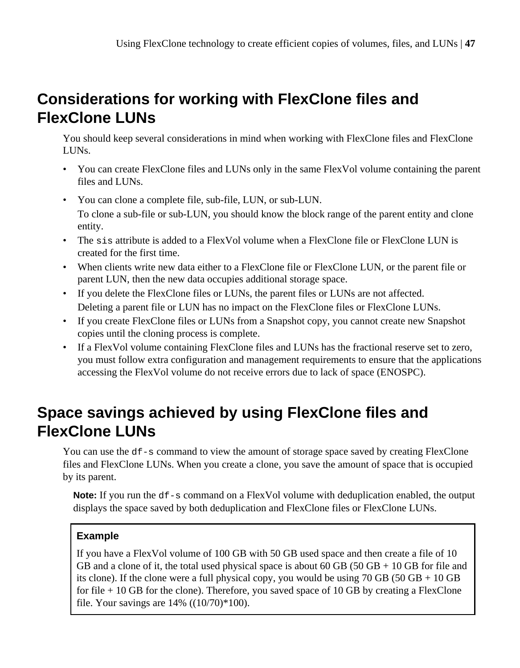## <span id="page-46-0"></span>**Considerations for working with FlexClone files and FlexClone LUNs**

You should keep several considerations in mind when working with FlexClone files and FlexClone LUNs.

- You can create FlexClone files and LUNs only in the same FlexVol volume containing the parent files and LUNs.
- You can clone a complete file, sub-file, LUN, or sub-LUN. To clone a sub-file or sub-LUN, you should know the block range of the parent entity and clone entity.
- The sis attribute is added to a FlexVol volume when a FlexClone file or FlexClone LUN is created for the first time.
- When clients write new data either to a FlexClone file or FlexClone LUN, or the parent file or parent LUN, then the new data occupies additional storage space.
- If you delete the FlexClone files or LUNs, the parent files or LUNs are not affected. Deleting a parent file or LUN has no impact on the FlexClone files or FlexClone LUNs.
- If you create FlexClone files or LUNs from a Snapshot copy, you cannot create new Snapshot copies until the cloning process is complete.
- If a FlexVol volume containing FlexClone files and LUNs has the fractional reserve set to zero, you must follow extra configuration and management requirements to ensure that the applications accessing the FlexVol volume do not receive errors due to lack of space (ENOSPC).

## **Space savings achieved by using FlexClone files and FlexClone LUNs**

You can use the  $df-s$  command to view the amount of storage space saved by creating FlexClone files and FlexClone LUNs. When you create a clone, you save the amount of space that is occupied by its parent.

**Note:** If you run the df-s command on a FlexVol volume with deduplication enabled, the output displays the space saved by both deduplication and FlexClone files or FlexClone LUNs.

#### **Example**

If you have a FlexVol volume of 100 GB with 50 GB used space and then create a file of 10 GB and a clone of it, the total used physical space is about  $60$  GB ( $50$  GB + 10 GB for file and its clone). If the clone were a full physical copy, you would be using 70 GB (50 GB  $+$  10 GB for file  $+10$  GB for the clone). Therefore, you saved space of 10 GB by creating a FlexClone file. Your savings are  $14%$  ((10/70)\*100).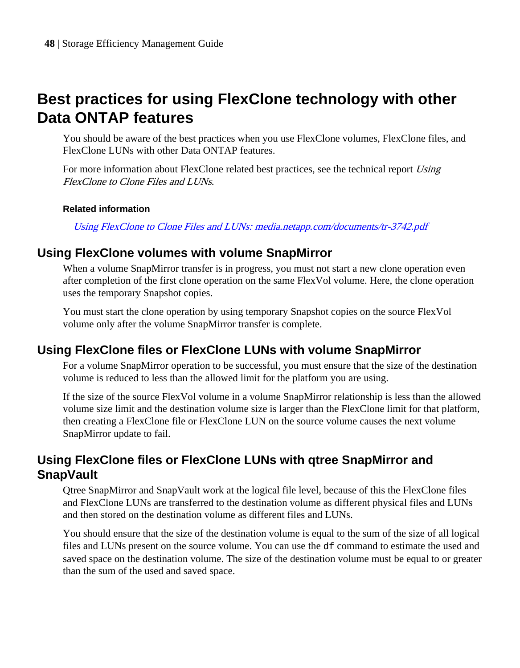## <span id="page-47-0"></span>**Best practices for using FlexClone technology with other Data ONTAP features**

You should be aware of the best practices when you use FlexClone volumes, FlexClone files, and FlexClone LUNs with other Data ONTAP features.

For more information about FlexClone related best practices, see the technical report Using FlexClone to Clone Files and LUNs.

#### **Related information**

[Using FlexClone to Clone Files and LUNs: media.netapp.com/documents/tr-3742.pdf](http://media.netapp.com/documents/tr-3742.pdf)

### **Using FlexClone volumes with volume SnapMirror**

When a volume SnapMirror transfer is in progress, you must not start a new clone operation even after completion of the first clone operation on the same FlexVol volume. Here, the clone operation uses the temporary Snapshot copies.

You must start the clone operation by using temporary Snapshot copies on the source FlexVol volume only after the volume SnapMirror transfer is complete.

### **Using FlexClone files or FlexClone LUNs with volume SnapMirror**

For a volume SnapMirror operation to be successful, you must ensure that the size of the destination volume is reduced to less than the allowed limit for the platform you are using.

If the size of the source FlexVol volume in a volume SnapMirror relationship is less than the allowed volume size limit and the destination volume size is larger than the FlexClone limit for that platform, then creating a FlexClone file or FlexClone LUN on the source volume causes the next volume SnapMirror update to fail.

### **Using FlexClone files or FlexClone LUNs with qtree SnapMirror and SnapVault**

Qtree SnapMirror and SnapVault work at the logical file level, because of this the FlexClone files and FlexClone LUNs are transferred to the destination volume as different physical files and LUNs and then stored on the destination volume as different files and LUNs.

You should ensure that the size of the destination volume is equal to the sum of the size of all logical files and LUNs present on the source volume. You can use the df command to estimate the used and saved space on the destination volume. The size of the destination volume must be equal to or greater than the sum of the used and saved space.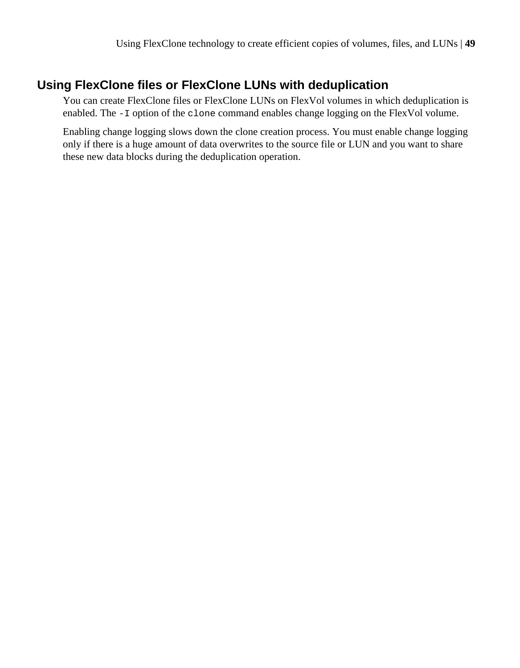### <span id="page-48-0"></span>**Using FlexClone files or FlexClone LUNs with deduplication**

You can create FlexClone files or FlexClone LUNs on FlexVol volumes in which deduplication is enabled. The -I option of the clone command enables change logging on the FlexVol volume.

Enabling change logging slows down the clone creation process. You must enable change logging only if there is a huge amount of data overwrites to the source file or LUN and you want to share these new data blocks during the deduplication operation.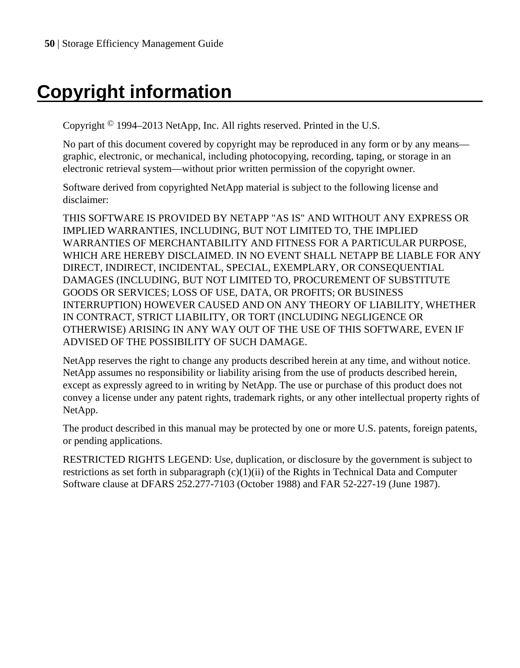# <span id="page-49-0"></span>**Copyright information**

Copyright © 1994–2013 NetApp, Inc. All rights reserved. Printed in the U.S.

No part of this document covered by copyright may be reproduced in any form or by any means graphic, electronic, or mechanical, including photocopying, recording, taping, or storage in an electronic retrieval system—without prior written permission of the copyright owner.

Software derived from copyrighted NetApp material is subject to the following license and disclaimer:

THIS SOFTWARE IS PROVIDED BY NETAPP "AS IS" AND WITHOUT ANY EXPRESS OR IMPLIED WARRANTIES, INCLUDING, BUT NOT LIMITED TO, THE IMPLIED WARRANTIES OF MERCHANTABILITY AND FITNESS FOR A PARTICULAR PURPOSE, WHICH ARE HEREBY DISCLAIMED. IN NO EVENT SHALL NETAPP BE LIABLE FOR ANY DIRECT, INDIRECT, INCIDENTAL, SPECIAL, EXEMPLARY, OR CONSEQUENTIAL DAMAGES (INCLUDING, BUT NOT LIMITED TO, PROCUREMENT OF SUBSTITUTE GOODS OR SERVICES; LOSS OF USE, DATA, OR PROFITS; OR BUSINESS INTERRUPTION) HOWEVER CAUSED AND ON ANY THEORY OF LIABILITY, WHETHER IN CONTRACT, STRICT LIABILITY, OR TORT (INCLUDING NEGLIGENCE OR OTHERWISE) ARISING IN ANY WAY OUT OF THE USE OF THIS SOFTWARE, EVEN IF ADVISED OF THE POSSIBILITY OF SUCH DAMAGE.

NetApp reserves the right to change any products described herein at any time, and without notice. NetApp assumes no responsibility or liability arising from the use of products described herein, except as expressly agreed to in writing by NetApp. The use or purchase of this product does not convey a license under any patent rights, trademark rights, or any other intellectual property rights of NetApp.

The product described in this manual may be protected by one or more U.S. patents, foreign patents, or pending applications.

RESTRICTED RIGHTS LEGEND: Use, duplication, or disclosure by the government is subject to restrictions as set forth in subparagraph  $(c)(1)(ii)$  of the Rights in Technical Data and Computer Software clause at DFARS 252.277-7103 (October 1988) and FAR 52-227-19 (June 1987).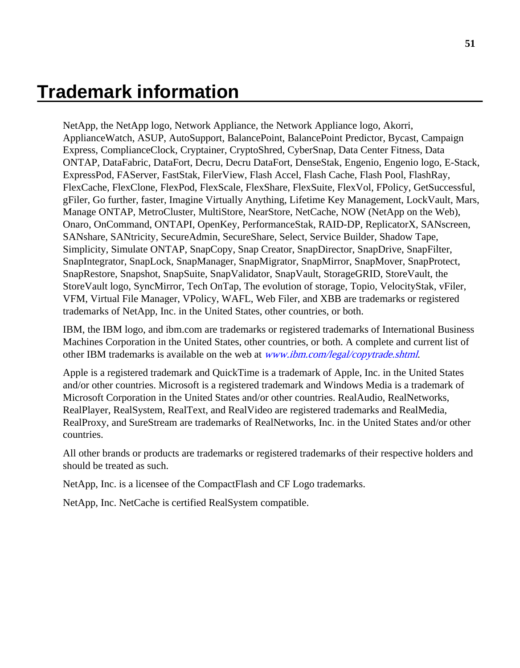# <span id="page-50-0"></span>**Trademark information**

NetApp, the NetApp logo, Network Appliance, the Network Appliance logo, Akorri, ApplianceWatch, ASUP, AutoSupport, BalancePoint, BalancePoint Predictor, Bycast, Campaign Express, ComplianceClock, Cryptainer, CryptoShred, CyberSnap, Data Center Fitness, Data ONTAP, DataFabric, DataFort, Decru, Decru DataFort, DenseStak, Engenio, Engenio logo, E-Stack, ExpressPod, FAServer, FastStak, FilerView, Flash Accel, Flash Cache, Flash Pool, FlashRay, FlexCache, FlexClone, FlexPod, FlexScale, FlexShare, FlexSuite, FlexVol, FPolicy, GetSuccessful, gFiler, Go further, faster, Imagine Virtually Anything, Lifetime Key Management, LockVault, Mars, Manage ONTAP, MetroCluster, MultiStore, NearStore, NetCache, NOW (NetApp on the Web), Onaro, OnCommand, ONTAPI, OpenKey, PerformanceStak, RAID-DP, ReplicatorX, SANscreen, SANshare, SANtricity, SecureAdmin, SecureShare, Select, Service Builder, Shadow Tape, Simplicity, Simulate ONTAP, SnapCopy, Snap Creator, SnapDirector, SnapDrive, SnapFilter, SnapIntegrator, SnapLock, SnapManager, SnapMigrator, SnapMirror, SnapMover, SnapProtect, SnapRestore, Snapshot, SnapSuite, SnapValidator, SnapVault, StorageGRID, StoreVault, the StoreVault logo, SyncMirror, Tech OnTap, The evolution of storage, Topio, VelocityStak, vFiler, VFM, Virtual File Manager, VPolicy, WAFL, Web Filer, and XBB are trademarks or registered trademarks of NetApp, Inc. in the United States, other countries, or both.

IBM, the IBM logo, and ibm.com are trademarks or registered trademarks of International Business Machines Corporation in the United States, other countries, or both. A complete and current list of other IBM trademarks is available on the web at [www.ibm.com/legal/copytrade.shtml](http://www.ibm.com/legal/copytrade.shtml).

Apple is a registered trademark and QuickTime is a trademark of Apple, Inc. in the United States and/or other countries. Microsoft is a registered trademark and Windows Media is a trademark of Microsoft Corporation in the United States and/or other countries. RealAudio, RealNetworks, RealPlayer, RealSystem, RealText, and RealVideo are registered trademarks and RealMedia, RealProxy, and SureStream are trademarks of RealNetworks, Inc. in the United States and/or other countries.

All other brands or products are trademarks or registered trademarks of their respective holders and should be treated as such.

NetApp, Inc. is a licensee of the CompactFlash and CF Logo trademarks.

NetApp, Inc. NetCache is certified RealSystem compatible.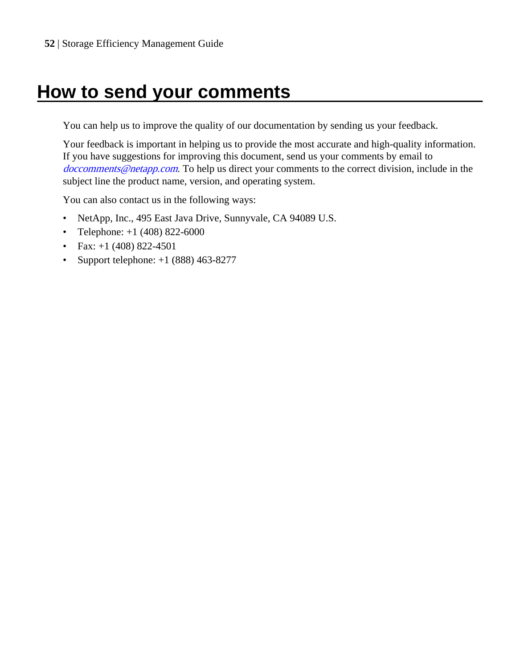# <span id="page-51-0"></span>**How to send your comments**

You can help us to improve the quality of our documentation by sending us your feedback.

Your feedback is important in helping us to provide the most accurate and high-quality information. If you have suggestions for improving this document, send us your comments by email to [doccomments@netapp.com](mailto:doccomments@netapp.com). To help us direct your comments to the correct division, include in the subject line the product name, version, and operating system.

You can also contact us in the following ways:

- NetApp, Inc., 495 East Java Drive, Sunnyvale, CA 94089 U.S.
- Telephone:  $+1$  (408) 822-6000
- Fax:  $+1$  (408) 822-4501
- Support telephone: +1 (888) 463-8277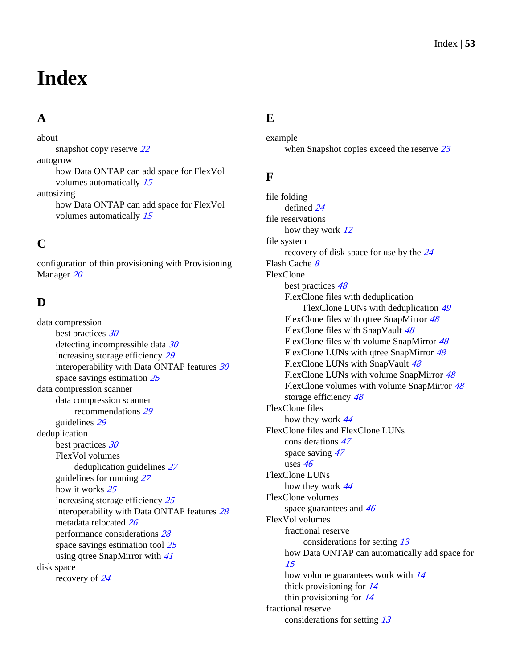# <span id="page-52-0"></span>**Index**

### **A**

about snapshot copy reserve [22](#page-21-0) autogrow how Data ONTAP can add space for FlexVol volumes automatically [15](#page-14-0) autosizing how Data ONTAP can add space for FlexVol volumes automatically [15](#page-14-0)

## **C**

configuration of thin provisioning with Provisioning Manager [20](#page-19-0)

### **D**

data compression best practices [30](#page-29-0) detecting incompressible data [30](#page-29-0) increasing storage efficiency [29](#page-28-0) interoperability with Data ONTAP features [30](#page-29-0) space savings estimation [25](#page-24-0) data compression scanner data compression scanner recommendations [29](#page-28-0) guidelines [29](#page-28-0) deduplication best practices [30](#page-29-0) FlexVol volumes deduplication guidelines [27](#page-26-0) guidelines for running [27](#page-26-0) how it works [25](#page-24-0) increasing storage efficiency [25](#page-24-0) interoperability with Data ONTAP features [28](#page-27-0) metadata relocated [26](#page-25-0) performance considerations [28](#page-27-0) space savings estimation tool [25](#page-24-0) using qtree SnapMirror with [41](#page-40-0) disk space recovery of [24](#page-23-0)

### **E**

example when Snapshot copies exceed the reserve [23](#page-22-0)

#### **F**

file folding defined [24](#page-23-0) file reservations how they work [12](#page-11-0) file system recovery of disk space for use by the [24](#page-23-0) Flash Cache [8](#page-7-0) FlexClone best practices [48](#page-47-0) FlexClone files with deduplication FlexClone LUNs with deduplication [49](#page-48-0) FlexClone files with qtree SnapMirror  $48$ FlexClone files with SnapVault [48](#page-47-0) FlexClone files with volume SnapMirror [48](#page-47-0) FlexClone LUNs with qtree SnapMirror [48](#page-47-0) FlexClone LUNs with SnapVault [48](#page-47-0) FlexClone LUNs with volume SnapMirror [48](#page-47-0) FlexClone volumes with volume SnapMirror [48](#page-47-0) storage efficiency [48](#page-47-0) FlexClone files how they work [44](#page-43-0) FlexClone files and FlexClone LUNs considerations [47](#page-46-0) space saving  $47$ uses [46](#page-45-0) FlexClone LUNs how they work [44](#page-43-0) FlexClone volumes space guarantees and  $46$ FlexVol volumes fractional reserve considerations for setting [13](#page-12-0) how Data ONTAP can automatically add space for [15](#page-14-0) how volume guarantees work with  $14$ thick provisioning for [14](#page-13-0) thin provisioning for [14](#page-13-0) fractional reserve considerations for setting [13](#page-12-0)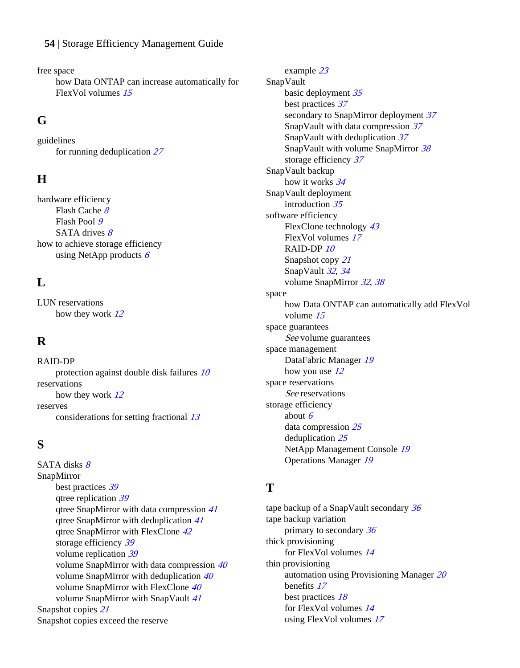#### **54** | Storage Efficiency Management Guide

free space

how Data ONTAP can increase automatically for FlexVol volumes [15](#page-14-0)

#### **G**

guidelines for running deduplication [27](#page-26-0)

### **H**

hardware efficiency Flash Cache [8](#page-7-0) Flash Pool [9](#page-8-0) SATA drives  $8$ how to achieve storage efficiency using NetApp products  $6$ 

### **L**

LUN reservations how they work [12](#page-11-0)

### **R**

RAID-DP protection against double disk failures [10](#page-9-0) reservations how they work [12](#page-11-0) reserves considerations for setting fractional [13](#page-12-0)

### **S**

SATA disks [8](#page-7-0) SnapMirror best practices [39](#page-38-0) qtree replication [39](#page-38-0) qtree SnapMirror with data compression [41](#page-40-0) qtree SnapMirror with deduplication [41](#page-40-0) qtree SnapMirror with FlexClone [42](#page-41-0) storage efficiency [39](#page-38-0) volume replication [39](#page-38-0) volume SnapMirror with data compression [40](#page-39-0) volume SnapMirror with deduplication [40](#page-39-0) volume SnapMirror with FlexClone [40](#page-39-0) volume SnapMirror with SnapVault [41](#page-40-0) Snapshot copies [21](#page-20-0) Snapshot copies exceed the reserve

example [23](#page-22-0) SnapVault basic deployment [35](#page-34-0) best practices [37](#page-36-0) secondary to SnapMirror deployment [37](#page-36-0) SnapVault with data compression [37](#page-36-0) SnapVault with deduplication [37](#page-36-0) SnapVault with volume SnapMirror [38](#page-37-0) storage efficiency [37](#page-36-0) SnapVault backup how it works [34](#page-33-0) SnapVault deployment introduction [35](#page-34-0) software efficiency FlexClone technology [43](#page-42-0) FlexVol volumes [17](#page-16-0) RAID-DP [10](#page-9-0) Snapshot copy [21](#page-20-0) SnapVault [32](#page-31-0), [34](#page-33-0) volume SnapMirror [32](#page-31-0), [38](#page-37-0) space how Data ONTAP can automatically add FlexVol volume [15](#page-14-0) space guarantees See [volume guarantees](#page-54-0) space management DataFabric Manager [19](#page-18-0) how you use  $12$ space reservations See reservations storage efficiency about  $6$ data compression [25](#page-24-0) deduplication [25](#page-24-0) NetApp Management Console [19](#page-18-0) Operations Manager [19](#page-18-0)

### **T**

tape backup of a SnapVault secondary [36](#page-35-0) tape backup variation primary to secondary [36](#page-35-0) thick provisioning for FlexVol volumes [14](#page-13-0) thin provisioning automation using Provisioning Manager [20](#page-19-0) benefits [17](#page-16-0) best practices [18](#page-17-0) for FlexVol volumes [14](#page-13-0) using FlexVol volumes [17](#page-16-0)